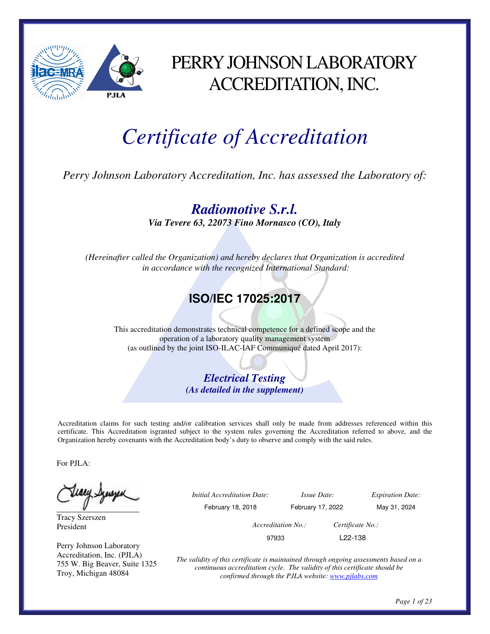

### PERRY JOHNSON LABORATORY ACCREDITATION, INC.

# *Certificate of Accreditation*

*Perry Johnson Laboratory Accreditation, Inc. has assessed the Laboratory of:* 

*Radiomotive S.r.l. Via Tevere 63, 22073 Fino Mornasco (CO), Italy* 

*(Hereinafter called the Organization) and hereby declares that Organization is accredited in accordance with the recognized International Standard:* 

### **ISO/IEC 17025:2017**

This accreditation demonstrates technical competence for a defined scope and the operation of a laboratory quality management system (as outlined by the joint ISO-ILAC-IAF Communiqué dated April 2017):

> *Electrical Testing (As detailed in the supplement)*

Accreditation claims for such testing and/or calibration services shall only be made from addresses referenced within this certificate. This Accreditation isgranted subject to the system rules governing the Accreditation referred to above, and the Organization hereby covenants with the Accreditation body's duty to observe and comply with the said rules.

For PJLA:

teacy Synsyn

Tracy Szerszen President

Perry Johnson Laboratory Accreditation, Inc. (PJLA) 755 W. Big Beaver, Suite 1325 Troy, Michigan 48084

 *Initial Accreditation Date: Issue Date: Expiration Date:*  February 18, 2018 February 17, 2022 May 31, 2024 *Accreditation No.: Certificate No.:*  97933 L22-138

> *The validity of this certificate is maintained through ongoing assessments based on a continuous accreditation cycle. The validity of this certificate should be confirmed through the PJLA website: www.pjlabs.com*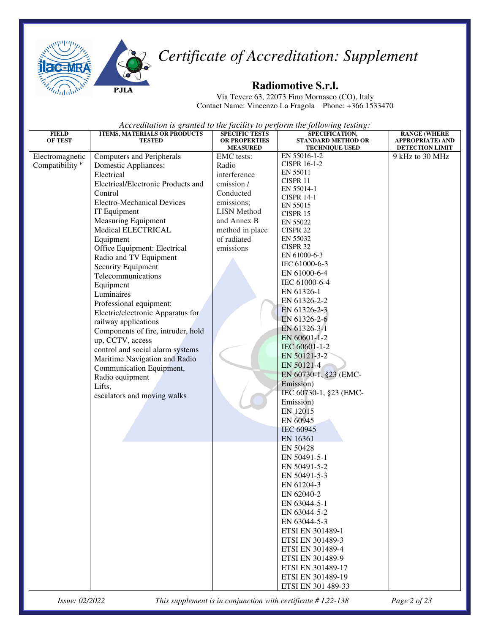



#### **Radiomotive S.r.l.**

Via Tevere 63, 22073 Fino Mornasco (CO), Italy Contact Name: Vincenzo La Fragola Phone: +366 1533470

*Accreditation is granted to the facility to perform the following testing:* 

| <b>FIELD</b>               | ITEMS, MATERIALS OR PRODUCTS       | <b>SPECIFIC TESTS</b>                   | SPECIFICATION,                                     | <b>RANGE (WHERE</b>                        |
|----------------------------|------------------------------------|-----------------------------------------|----------------------------------------------------|--------------------------------------------|
| <b>OF TEST</b>             | <b>TESTED</b>                      | <b>OR PROPERTIES</b><br><b>MEASURED</b> | <b>STANDARD METHOD OR</b><br><b>TECHNIQUE USED</b> | APPROPRIATE) AND<br><b>DETECTION LIMIT</b> |
| Electromagnetic            | <b>Computers and Peripherals</b>   | EMC tests:                              | EN 55016-1-2                                       | 9 kHz to 30 MHz                            |
| Compatibility <sup>F</sup> | Domestic Appliances:               | Radio                                   | <b>CISPR 16-1-2</b>                                |                                            |
|                            | Electrical                         | interference                            | EN 55011                                           |                                            |
|                            | Electrical/Electronic Products and | emission /                              | CISPR 11                                           |                                            |
|                            | Control                            | Conducted                               | EN 55014-1                                         |                                            |
|                            | <b>Electro-Mechanical Devices</b>  | emissions;                              | <b>CISPR 14-1</b><br>EN 55015                      |                                            |
|                            | IT Equipment                       | <b>LISN</b> Method                      | CISPR 15                                           |                                            |
|                            | <b>Measuring Equipment</b>         | and Annex B                             | EN 55022                                           |                                            |
|                            | Medical ELECTRICAL                 | method in place                         | CISPR <sub>22</sub>                                |                                            |
|                            | Equipment                          | of radiated                             | EN 55032                                           |                                            |
|                            | Office Equipment: Electrical       | emissions                               | CISPR 32                                           |                                            |
|                            | Radio and TV Equipment             |                                         | EN 61000-6-3                                       |                                            |
|                            | Security Equipment                 |                                         | IEC 61000-6-3                                      |                                            |
|                            | Telecommunications                 |                                         | EN 61000-6-4                                       |                                            |
|                            | Equipment                          |                                         | IEC 61000-6-4                                      |                                            |
|                            | Luminaires                         |                                         | EN 61326-1                                         |                                            |
|                            | Professional equipment:            |                                         | EN 61326-2-2                                       |                                            |
|                            | Electric/electronic Apparatus for  |                                         | EN 61326-2-3                                       |                                            |
|                            | railway applications               |                                         | EN 61326-2-6                                       |                                            |
|                            | Components of fire, intruder, hold |                                         | EN 61326-3-1                                       |                                            |
|                            | up, CCTV, access                   |                                         | EN 60601-1-2                                       |                                            |
|                            | control and social alarm systems   |                                         | IEC 60601-1-2                                      |                                            |
|                            | Maritime Navigation and Radio      |                                         | EN 50121-3-2                                       |                                            |
|                            | Communication Equipment,           |                                         | EN 50121-4                                         |                                            |
|                            | Radio equipment                    |                                         | EN 60730-1, §23 (EMC-                              |                                            |
|                            | Lifts,                             |                                         | Emission)<br>IEC 60730-1, §23 (EMC-                |                                            |
|                            | escalators and moving walks        |                                         | Emission)                                          |                                            |
|                            |                                    |                                         | EN 12015                                           |                                            |
|                            |                                    |                                         | EN 60945                                           |                                            |
|                            |                                    |                                         | <b>IEC 60945</b>                                   |                                            |
|                            |                                    |                                         | EN 16361                                           |                                            |
|                            |                                    |                                         | EN 50428                                           |                                            |
|                            |                                    |                                         | EN 50491-5-1                                       |                                            |
|                            |                                    |                                         | EN 50491-5-2                                       |                                            |
|                            |                                    |                                         | EN 50491-5-3                                       |                                            |
|                            |                                    |                                         | EN 61204-3                                         |                                            |
|                            |                                    |                                         | EN 62040-2                                         |                                            |
|                            |                                    |                                         | EN 63044-5-1                                       |                                            |
|                            |                                    |                                         | EN 63044-5-2                                       |                                            |
|                            |                                    |                                         | EN 63044-5-3                                       |                                            |
|                            |                                    |                                         | ETSI EN 301489-1                                   |                                            |
|                            |                                    |                                         | ETSI EN 301489-3                                   |                                            |
|                            |                                    |                                         | ETSI EN 301489-4                                   |                                            |
|                            |                                    |                                         | ETSI EN 301489-9                                   |                                            |
|                            |                                    |                                         | ETSI EN 301489-17                                  |                                            |
|                            |                                    |                                         | ETSI EN 301489-19                                  |                                            |
|                            |                                    |                                         | ETSI EN 301 489-33                                 |                                            |

*Issue: 02/2022 This supplement is in conjunction with certificate # L22-138 Page 2 of 23*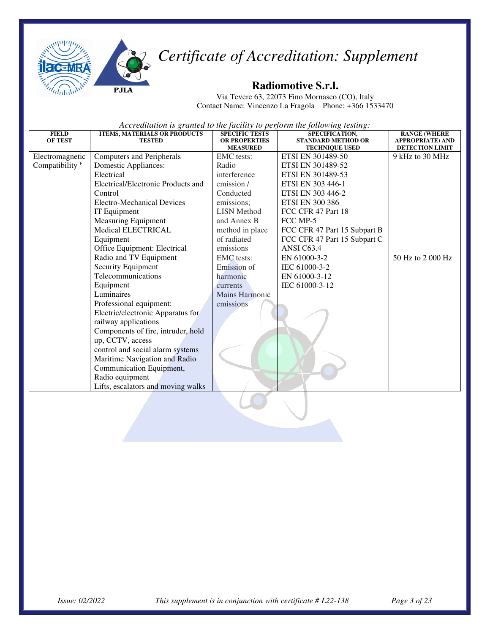



#### **Radiomotive S.r.l.**

Via Tevere 63, 22073 Fino Mornasco (CO), Italy Contact Name: Vincenzo La Fragola Phone: +366 1533470

| <b>FIELD</b>      | <b>ITEMS, MATERIALS OR PRODUCTS</b> | <b>SPECIFIC TESTS</b> | SPECIFICATION,               | <b>RANGE (WHERE</b>     |
|-------------------|-------------------------------------|-----------------------|------------------------------|-------------------------|
| <b>OF TEST</b>    | <b>TESTED</b>                       | <b>OR PROPERTIES</b>  | <b>STANDARD METHOD OR</b>    | <b>APPROPRIATE) AND</b> |
|                   |                                     | <b>MEASURED</b>       | <b>TECHNIQUE USED</b>        | <b>DETECTION LIMIT</b>  |
| Electromagnetic   | Computers and Peripherals           | <b>EMC</b> tests:     | ETSI EN 301489-50            | 9 kHz to 30 MHz         |
| Compatibility $F$ | <b>Domestic Appliances:</b>         | Radio                 | ETSI EN 301489-52            |                         |
|                   | Electrical                          | interference          | ETSI EN 301489-53            |                         |
|                   | Electrical/Electronic Products and  | emission /            | ETSI EN 303 446-1            |                         |
|                   | Control                             | Conducted             | ETSI EN 303 446-2            |                         |
|                   | Electro-Mechanical Devices          | emissions:            | <b>ETSI EN 300 386</b>       |                         |
|                   | IT Equipment                        | <b>LISN Method</b>    | FCC CFR 47 Part 18           |                         |
|                   | <b>Measuring Equipment</b>          | and Annex B           | FCC MP-5                     |                         |
|                   | <b>Medical ELECTRICAL</b>           | method in place       | FCC CFR 47 Part 15 Subpart B |                         |
|                   | Equipment                           | of radiated           | FCC CFR 47 Part 15 Subpart C |                         |
|                   | Office Equipment: Electrical        | emissions             | ANSI C63.4                   |                         |
|                   | Radio and TV Equipment              | EMC tests:            | EN 61000-3-2                 | 50 Hz to 2 000 Hz       |
|                   | Security Equipment                  | Emission of           | IEC 61000-3-2                |                         |
|                   | Telecommunications                  | harmonic              | EN 61000-3-12                |                         |
|                   | Equipment                           | currents              | IEC 61000-3-12               |                         |
|                   | Luminaires                          | <b>Mains Harmonic</b> |                              |                         |
|                   | Professional equipment:             | emissions             |                              |                         |
|                   | Electric/electronic Apparatus for   |                       |                              |                         |
|                   | railway applications                |                       |                              |                         |
|                   | Components of fire, intruder, hold  |                       |                              |                         |
|                   | up, CCTV, access                    |                       |                              |                         |
|                   | control and social alarm systems    |                       |                              |                         |
|                   | Maritime Navigation and Radio       |                       |                              |                         |
|                   | Communication Equipment,            |                       |                              |                         |
|                   | Radio equipment                     |                       |                              |                         |
|                   | Lifts, escalators and moving walks  |                       |                              |                         |
|                   |                                     |                       |                              |                         |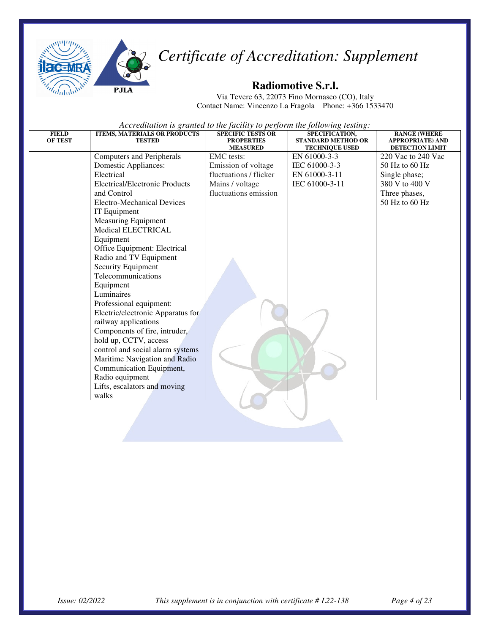



#### **Radiomotive S.r.l.**

Via Tevere 63, 22073 Fino Mornasco (CO), Italy Contact Name: Vincenzo La Fragola Phone: +366 1533470

| <b>FIELD</b><br><b>OF TEST</b> | <b>ITEMS, MATERIALS OR PRODUCTS</b><br><b>TESTED</b> | <b>SPECIFIC TESTS OR</b><br><b>PROPERTIES</b><br><b>MEASURED</b> | SPECIFICATION,<br><b>STANDARD METHOD OR</b><br><b>TECHNIQUE USED</b> | <b>RANGE (WHERE</b><br><b>APPROPRIATE) AND</b><br>DETECTION LIMIT |
|--------------------------------|------------------------------------------------------|------------------------------------------------------------------|----------------------------------------------------------------------|-------------------------------------------------------------------|
|                                | <b>Computers and Peripherals</b>                     | <b>EMC</b> tests:                                                | EN 61000-3-3                                                         | 220 Vac to 240 Vac                                                |
|                                | Domestic Appliances:                                 | Emission of voltage                                              | IEC 61000-3-3                                                        | $50$ Hz to $60$ Hz                                                |
|                                | Electrical                                           | fluctuations / flicker                                           | EN 61000-3-11                                                        | Single phase;                                                     |
|                                | Electrical/Electronic Products                       | Mains / voltage                                                  | IEC 61000-3-11                                                       | 380 V to 400 V                                                    |
|                                | and Control                                          | fluctuations emission                                            |                                                                      | Three phases,                                                     |
|                                | <b>Electro-Mechanical Devices</b>                    |                                                                  |                                                                      | 50 Hz to 60 Hz                                                    |
|                                | IT Equipment                                         |                                                                  |                                                                      |                                                                   |
|                                | <b>Measuring Equipment</b>                           |                                                                  |                                                                      |                                                                   |
|                                | Medical ELECTRICAL                                   |                                                                  |                                                                      |                                                                   |
|                                | Equipment                                            |                                                                  |                                                                      |                                                                   |
|                                | Office Equipment: Electrical                         |                                                                  |                                                                      |                                                                   |
|                                | Radio and TV Equipment                               |                                                                  |                                                                      |                                                                   |
|                                | Security Equipment                                   |                                                                  |                                                                      |                                                                   |
|                                | Telecommunications                                   |                                                                  |                                                                      |                                                                   |
|                                | Equipment                                            |                                                                  |                                                                      |                                                                   |
|                                | Luminaires                                           |                                                                  |                                                                      |                                                                   |
|                                | Professional equipment:                              |                                                                  |                                                                      |                                                                   |
|                                | Electric/electronic Apparatus for                    |                                                                  |                                                                      |                                                                   |
|                                | railway applications                                 |                                                                  |                                                                      |                                                                   |
|                                | Components of fire, intruder,                        |                                                                  |                                                                      |                                                                   |
|                                | hold up, CCTV, access                                |                                                                  |                                                                      |                                                                   |
|                                | control and social alarm systems                     |                                                                  |                                                                      |                                                                   |
|                                | Maritime Navigation and Radio                        |                                                                  |                                                                      |                                                                   |
|                                | Communication Equipment,                             |                                                                  |                                                                      |                                                                   |
|                                | Radio equipment                                      |                                                                  |                                                                      |                                                                   |
|                                | Lifts, escalators and moving<br>walks                |                                                                  |                                                                      |                                                                   |
|                                |                                                      |                                                                  |                                                                      |                                                                   |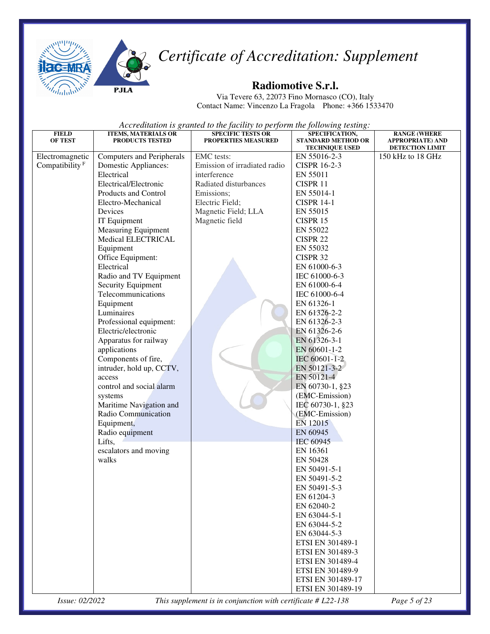



Via Tevere 63, 22073 Fino Mornasco (CO), Italy Contact Name: Vincenzo La Fragola Phone: +366 1533470

*Accreditation is granted to the facility to perform the following testing:* 

| <b>FIELD</b>               | <b>ITEMS, MATERIALS OR</b>                      | <b>SPECIFIC TESTS OR</b>     | SPECIFICATION,                                     | <b>RANGE (WHERE</b>                        |
|----------------------------|-------------------------------------------------|------------------------------|----------------------------------------------------|--------------------------------------------|
| <b>OF TEST</b>             | PRODUCTS TESTED                                 | <b>PROPERTIES MEASURED</b>   | <b>STANDARD METHOD OR</b><br><b>TECHNIQUE USED</b> | <b>APPROPRIATE) AND</b><br>DETECTION LIMIT |
| Electromagnetic            | Computers and Peripherals                       | <b>EMC</b> tests:            | EN 55016-2-3                                       | 150 kHz to 18 GHz                          |
| Compatibility <sup>F</sup> | <b>Domestic Appliances:</b>                     | Emission of irradiated radio | <b>CISPR 16-2-3</b>                                |                                            |
|                            | Electrical                                      | interference                 | EN 55011                                           |                                            |
|                            | Electrical/Electronic                           | Radiated disturbances        | CISPR 11                                           |                                            |
|                            | Products and Control                            | Emissions;                   | EN 55014-1                                         |                                            |
|                            | Electro-Mechanical                              | Electric Field;              | <b>CISPR 14-1</b>                                  |                                            |
|                            | Devices                                         | Magnetic Field; LLA          | EN 55015                                           |                                            |
|                            | IT Equipment                                    | Magnetic field               | CISPR 15                                           |                                            |
|                            | <b>Measuring Equipment</b>                      |                              | EN 55022                                           |                                            |
|                            | Medical ELECTRICAL                              |                              | CISPR 22                                           |                                            |
|                            | Equipment                                       |                              | EN 55032                                           |                                            |
|                            | Office Equipment:                               |                              | CISPR 32                                           |                                            |
|                            | Electrical                                      |                              | EN 61000-6-3                                       |                                            |
|                            | Radio and TV Equipment                          |                              | IEC 61000-6-3                                      |                                            |
|                            | Security Equipment                              |                              | EN 61000-6-4                                       |                                            |
|                            | Telecommunications                              |                              | IEC 61000-6-4                                      |                                            |
|                            | Equipment                                       |                              | EN 61326-1                                         |                                            |
|                            | Luminaires                                      |                              | EN 61326-2-2                                       |                                            |
|                            | Professional equipment:                         |                              | EN 61326-2-3                                       |                                            |
|                            | Electric/electronic                             |                              | EN 61326-2-6                                       |                                            |
|                            | Apparatus for railway                           |                              | EN 61326-3-1                                       |                                            |
|                            | applications                                    |                              | EN 60601-1-2<br>IEC 60601-1-2                      |                                            |
|                            | Components of fire,<br>intruder, hold up, CCTV, |                              | EN 50121-3-2                                       |                                            |
|                            | access                                          |                              | EN 50121-4                                         |                                            |
|                            | control and social alarm                        |                              | EN 60730-1, §23                                    |                                            |
|                            | systems                                         |                              | (EMC-Emission)                                     |                                            |
|                            | Maritime Navigation and                         |                              | IEC 60730-1, §23                                   |                                            |
|                            | Radio Communication                             |                              | (EMC-Emission)                                     |                                            |
|                            | Equipment,                                      |                              | EN 12015                                           |                                            |
|                            | Radio equipment                                 |                              | EN 60945                                           |                                            |
|                            | Lifts,                                          |                              | <b>IEC 60945</b>                                   |                                            |
|                            | escalators and moving                           |                              | EN 16361                                           |                                            |
|                            | walks                                           |                              | EN 50428                                           |                                            |
|                            |                                                 |                              | EN 50491-5-1                                       |                                            |
|                            |                                                 |                              | EN 50491-5-2                                       |                                            |
|                            |                                                 |                              | EN 50491-5-3                                       |                                            |
|                            |                                                 |                              | EN 61204-3                                         |                                            |
|                            |                                                 |                              | EN 62040-2                                         |                                            |
|                            |                                                 |                              | EN 63044-5-1                                       |                                            |
|                            |                                                 |                              | EN 63044-5-2                                       |                                            |
|                            |                                                 |                              | EN 63044-5-3                                       |                                            |
|                            |                                                 |                              | ETSI EN 301489-1                                   |                                            |
|                            |                                                 |                              | ETSI EN 301489-3                                   |                                            |
|                            |                                                 |                              | ETSI EN 301489-4                                   |                                            |
|                            |                                                 |                              | ETSI EN 301489-9                                   |                                            |
|                            |                                                 |                              | ETSI EN 301489-17                                  |                                            |
|                            |                                                 |                              | ETSI EN 301489-19                                  |                                            |

*Issue: 02/2022 This supplement is in conjunction with certificate # L22-138 Page 5 of 23*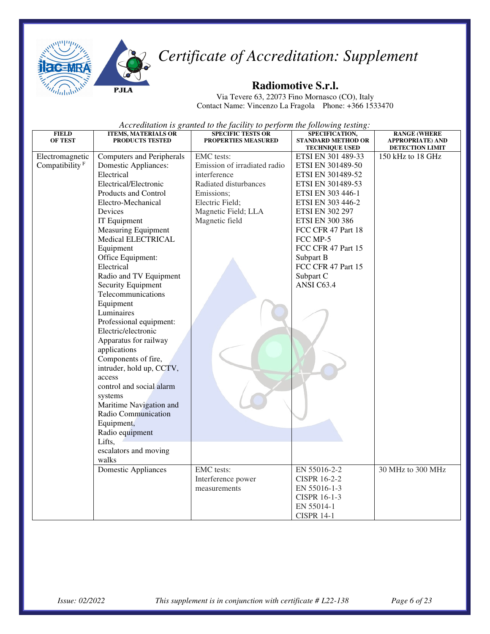

#### **Radiomotive S.r.l.**

Via Tevere 63, 22073 Fino Mornasco (CO), Italy Contact Name: Vincenzo La Fragola Phone: +366 1533470

| <b>FIELD</b><br><b>OF TEST</b> | <b>ITEMS, MATERIALS OR</b><br>PRODUCTS TESTED | <b>SPECIFIC TESTS OR</b><br>PROPERTIES MEASURED | SPECIFICATION,<br><b>STANDARD METHOD OR</b> | <b>RANGE (WHERE</b><br><b>APPROPRIATE) AND</b> |
|--------------------------------|-----------------------------------------------|-------------------------------------------------|---------------------------------------------|------------------------------------------------|
| Electromagnetic                | <b>Computers and Peripherals</b>              | <b>EMC</b> tests:                               | <b>TECHNIQUE USED</b><br>ETSI EN 301 489-33 | DETECTION LIMIT<br>150 kHz to 18 GHz           |
| Compatibility <sup>F</sup>     | Domestic Appliances:                          | Emission of irradiated radio                    | ETSI EN 301489-50                           |                                                |
|                                | Electrical                                    | interference                                    | ETSI EN 301489-52                           |                                                |
|                                | Electrical/Electronic                         | Radiated disturbances                           | ETSI EN 301489-53                           |                                                |
|                                | Products and Control                          | Emissions;                                      | ETSI EN 303 446-1                           |                                                |
|                                | Electro-Mechanical                            | Electric Field;                                 | ETSI EN 303 446-2                           |                                                |
|                                | Devices                                       | Magnetic Field; LLA                             | <b>ETSI EN 302 297</b>                      |                                                |
|                                | IT Equipment                                  | Magnetic field                                  | <b>ETSI EN 300 386</b>                      |                                                |
|                                | <b>Measuring Equipment</b>                    |                                                 | FCC CFR 47 Part 18                          |                                                |
|                                | Medical ELECTRICAL                            |                                                 | FCC MP-5                                    |                                                |
|                                | Equipment                                     |                                                 | FCC CFR 47 Part 15                          |                                                |
|                                | Office Equipment:                             |                                                 | Subpart B                                   |                                                |
|                                | Electrical                                    |                                                 | FCC CFR 47 Part 15                          |                                                |
|                                | Radio and TV Equipment                        |                                                 | Subpart C                                   |                                                |
|                                | Security Equipment                            |                                                 | ANSI C63.4                                  |                                                |
|                                | Telecommunications                            |                                                 |                                             |                                                |
|                                | Equipment                                     |                                                 |                                             |                                                |
|                                | Luminaires                                    |                                                 |                                             |                                                |
|                                | Professional equipment:                       |                                                 |                                             |                                                |
|                                | Electric/electronic                           |                                                 |                                             |                                                |
|                                | Apparatus for railway                         |                                                 |                                             |                                                |
|                                | applications                                  |                                                 |                                             |                                                |
|                                | Components of fire,                           |                                                 |                                             |                                                |
|                                | intruder, hold up, CCTV,                      |                                                 |                                             |                                                |
|                                | access                                        |                                                 |                                             |                                                |
|                                | control and social alarm                      |                                                 |                                             |                                                |
|                                | systems                                       |                                                 |                                             |                                                |
|                                | Maritime Navigation and                       |                                                 |                                             |                                                |
|                                | Radio Communication                           |                                                 |                                             |                                                |
|                                | Equipment,                                    |                                                 |                                             |                                                |
|                                | Radio equipment                               |                                                 |                                             |                                                |
|                                | Lifts,                                        |                                                 |                                             |                                                |
|                                | escalators and moving                         |                                                 |                                             |                                                |
|                                | walks                                         |                                                 |                                             |                                                |
|                                | <b>Domestic Appliances</b>                    | EMC tests:                                      | EN 55016-2-2                                | 30 MHz to 300 MHz                              |
|                                |                                               | Interference power                              | <b>CISPR 16-2-2</b>                         |                                                |
|                                |                                               | measurements                                    | EN 55016-1-3                                |                                                |
|                                |                                               |                                                 | CISPR 16-1-3                                |                                                |
|                                |                                               |                                                 | EN 55014-1                                  |                                                |
|                                |                                               |                                                 | <b>CISPR 14-1</b>                           |                                                |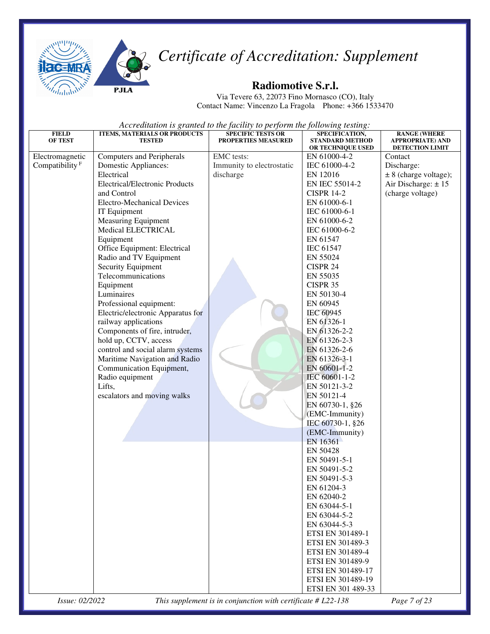



#### **Radiomotive S.r.l.**

Via Tevere 63, 22073 Fino Mornasco (CO), Italy Contact Name: Vincenzo La Fragola Phone: +366 1533470

*Accreditation is granted to the facility to perform the following testing:* 

| <b>FIELD</b><br>OF TEST    | ITEMS, MATERIALS OR PRODUCTS<br><b>TESTED</b> | <b>SPECIFIC TESTS OR</b><br><b>PROPERTIES MEASURED</b> | SPECIFICATION,<br><b>STANDARD METHOD</b> | <b>RANGE (WHERE</b><br><b>APPROPRIATE) AND</b> |
|----------------------------|-----------------------------------------------|--------------------------------------------------------|------------------------------------------|------------------------------------------------|
|                            |                                               |                                                        | OR TECHNIQUE USED                        | DETECTION LIMIT                                |
| Electromagnetic            | <b>Computers and Peripherals</b>              | <b>EMC</b> tests:                                      | EN 61000-4-2                             | Contact                                        |
| Compatibility <sup>F</sup> | Domestic Appliances:                          | Immunity to electrostatic                              | IEC 61000-4-2                            | Discharge:                                     |
|                            | Electrical                                    | discharge                                              | EN 12016                                 | $\pm 8$ (charge voltage);                      |
|                            | <b>Electrical/Electronic Products</b>         |                                                        | EN IEC 55014-2                           | Air Discharge: $\pm$ 15                        |
|                            | and Control                                   |                                                        | <b>CISPR 14-2</b>                        | (charge voltage)                               |
|                            | <b>Electro-Mechanical Devices</b>             |                                                        | EN 61000-6-1                             |                                                |
|                            | IT Equipment                                  |                                                        | IEC 61000-6-1                            |                                                |
|                            | <b>Measuring Equipment</b>                    |                                                        | EN 61000-6-2                             |                                                |
|                            | Medical ELECTRICAL                            |                                                        | IEC 61000-6-2                            |                                                |
|                            | Equipment                                     |                                                        | EN 61547                                 |                                                |
|                            | Office Equipment: Electrical                  |                                                        | <b>IEC 61547</b>                         |                                                |
|                            | Radio and TV Equipment                        |                                                        | EN 55024                                 |                                                |
|                            | Security Equipment                            |                                                        | CISPR 24                                 |                                                |
|                            | Telecommunications                            |                                                        | EN 55035                                 |                                                |
|                            | Equipment                                     |                                                        | CISPR 35                                 |                                                |
|                            | Luminaires                                    |                                                        | EN 50130-4                               |                                                |
|                            | Professional equipment:                       |                                                        | EN 60945                                 |                                                |
|                            | Electric/electronic Apparatus for             |                                                        | IEC 60945                                |                                                |
|                            | railway applications                          |                                                        | EN 61326-1                               |                                                |
|                            | Components of fire, intruder,                 |                                                        | EN 61326-2-2                             |                                                |
|                            | hold up, CCTV, access                         |                                                        | EN 61326-2-3                             |                                                |
|                            | control and social alarm systems              |                                                        | EN 61326-2-6                             |                                                |
|                            | Maritime Navigation and Radio                 |                                                        | EN 61326-3-1                             |                                                |
|                            | Communication Equipment,                      |                                                        | EN 60601-1-2                             |                                                |
|                            | Radio equipment                               |                                                        | IEC 60601-1-2                            |                                                |
|                            | Lifts,                                        |                                                        | EN 50121-3-2                             |                                                |
|                            | escalators and moving walks                   |                                                        | EN 50121-4                               |                                                |
|                            |                                               |                                                        | EN 60730-1, §26                          |                                                |
|                            |                                               |                                                        | (EMC-Immunity)                           |                                                |
|                            |                                               |                                                        | IEC 60730-1, §26                         |                                                |
|                            |                                               |                                                        | (EMC-Immunity)                           |                                                |
|                            |                                               |                                                        | EN 16361                                 |                                                |
|                            |                                               |                                                        | EN 50428                                 |                                                |
|                            |                                               |                                                        | EN 50491-5-1                             |                                                |
|                            |                                               |                                                        | EN 50491-5-2                             |                                                |
|                            |                                               |                                                        | EN 50491-5-3                             |                                                |
|                            |                                               |                                                        | EN 61204-3                               |                                                |
|                            |                                               |                                                        | EN 62040-2                               |                                                |
|                            |                                               |                                                        | EN 63044-5-1                             |                                                |
|                            |                                               |                                                        | EN 63044-5-2                             |                                                |
|                            |                                               |                                                        | EN 63044-5-3                             |                                                |
|                            |                                               |                                                        | ETSI EN 301489-1                         |                                                |
|                            |                                               |                                                        | ETSI EN 301489-3                         |                                                |
|                            |                                               |                                                        | ETSI EN 301489-4                         |                                                |
|                            |                                               |                                                        | ETSI EN 301489-9                         |                                                |
|                            |                                               |                                                        | ETSI EN 301489-17                        |                                                |
|                            |                                               |                                                        | ETSI EN 301489-19                        |                                                |
|                            |                                               |                                                        | ETSI EN 301 489-33                       |                                                |

*Issue: 02/2022 This supplement is in conjunction with certificate # L22-138 Page 7 of 23*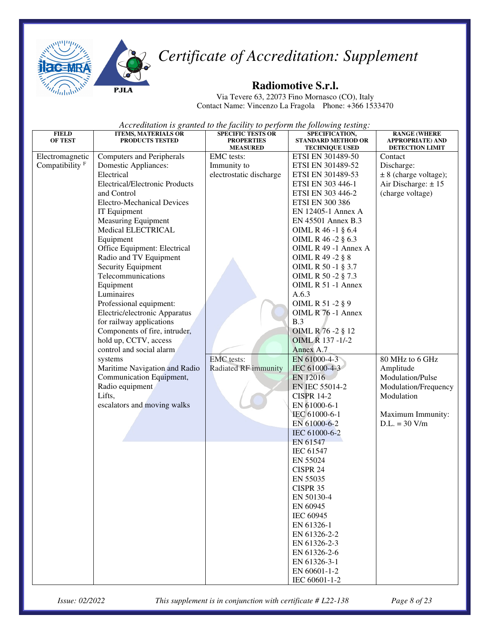

#### **Radiomotive S.r.l.**

Via Tevere 63, 22073 Fino Mornasco (CO), Italy Contact Name: Vincenzo La Fragola Phone: +366 1533470

| <b>FIELD</b><br><b>OF TEST</b> | <b>ITEMS, MATERIALS OR</b><br><b>PRODUCTS TESTED</b> | <b>SPECIFIC TESTS OR</b><br><b>PROPERTIES</b><br><b>MEASURED</b> | SPECIFICATION,<br><b>STANDARD METHOD OR</b><br><b>TECHNIQUE USED</b> | <b>RANGE (WHERE</b><br>APPROPRIATE) AND<br><b>DETECTION LIMIT</b> |
|--------------------------------|------------------------------------------------------|------------------------------------------------------------------|----------------------------------------------------------------------|-------------------------------------------------------------------|
| Electromagnetic                | <b>Computers and Peripherals</b>                     | EMC tests:                                                       | ETSI EN 301489-50                                                    | Contact                                                           |
| Compatibility <sup>F</sup>     | Domestic Appliances:                                 | Immunity to                                                      | ETSI EN 301489-52                                                    | Discharge:                                                        |
|                                | Electrical                                           | electrostatic discharge                                          | ETSI EN 301489-53                                                    | $\pm$ 8 (charge voltage);                                         |
|                                | <b>Electrical/Electronic Products</b>                |                                                                  | ETSI EN 303 446-1                                                    | Air Discharge: $\pm$ 15                                           |
|                                | and Control                                          |                                                                  | ETSI EN 303 446-2                                                    | (charge voltage)                                                  |
|                                | <b>Electro-Mechanical Devices</b>                    |                                                                  | <b>ETSI EN 300 386</b>                                               |                                                                   |
|                                | IT Equipment                                         |                                                                  | EN 12405-1 Annex A                                                   |                                                                   |
|                                | <b>Measuring Equipment</b>                           |                                                                  | EN 45501 Annex B.3                                                   |                                                                   |
|                                | Medical ELECTRICAL                                   |                                                                  | OIML R 46 -1 § 6.4                                                   |                                                                   |
|                                | Equipment                                            |                                                                  | OIML R 46 - 2 § 6.3                                                  |                                                                   |
|                                | Office Equipment: Electrical                         |                                                                  | OIML R 49 -1 Annex A                                                 |                                                                   |
|                                | Radio and TV Equipment                               |                                                                  | OIML R 49 -2 § 8                                                     |                                                                   |
|                                | Security Equipment                                   |                                                                  | OIML R 50 -1 § 3.7                                                   |                                                                   |
|                                | Telecommunications                                   |                                                                  | OIML R 50 -2 § 7.3                                                   |                                                                   |
|                                | Equipment                                            |                                                                  | OIML R 51 -1 Annex                                                   |                                                                   |
|                                | Luminaires                                           |                                                                  | A.6.3                                                                |                                                                   |
|                                | Professional equipment:                              |                                                                  | OIML R 51 -2 § 9                                                     |                                                                   |
|                                | Electric/electronic Apparatus                        |                                                                  | OIML R 76 -1 Annex                                                   |                                                                   |
|                                | for railway applications                             |                                                                  | B.3                                                                  |                                                                   |
|                                | Components of fire, intruder,                        |                                                                  | OIML R 76 - 2 § 12                                                   |                                                                   |
|                                | hold up, CCTV, access                                |                                                                  | OIML R 137 -1/-2                                                     |                                                                   |
|                                | control and social alarm                             |                                                                  | Annex A.7                                                            |                                                                   |
|                                | systems                                              | <b>EMC</b> tests:                                                | EN 61000-4-3                                                         | 80 MHz to 6 GHz                                                   |
|                                | Maritime Navigation and Radio                        | <b>Radiated RF</b> immunity                                      | IEC 61000-4-3                                                        | Amplitude                                                         |
|                                | Communication Equipment,                             |                                                                  | EN 12016                                                             | Modulation/Pulse                                                  |
|                                | Radio equipment                                      |                                                                  | EN IEC 55014-2                                                       | Modulation/Frequency                                              |
|                                | Lifts,                                               |                                                                  | <b>CISPR 14-2</b>                                                    | Modulation                                                        |
|                                | escalators and moving walks                          |                                                                  | EN 61000-6-1                                                         |                                                                   |
|                                |                                                      |                                                                  | IEC 61000-6-1                                                        | Maximum Immunity:                                                 |
|                                |                                                      |                                                                  | EN 61000-6-2                                                         | $D.L. = 30 V/m$                                                   |
|                                |                                                      |                                                                  | IEC 61000-6-2                                                        |                                                                   |
|                                |                                                      |                                                                  | EN 61547                                                             |                                                                   |
|                                |                                                      |                                                                  | IEC 61547                                                            |                                                                   |
|                                |                                                      |                                                                  | EN 55024                                                             |                                                                   |
|                                |                                                      |                                                                  | CISPR 24                                                             |                                                                   |
|                                |                                                      |                                                                  | EN 55035                                                             |                                                                   |
|                                |                                                      |                                                                  | CISPR 35                                                             |                                                                   |
|                                |                                                      |                                                                  | EN 50130-4                                                           |                                                                   |
|                                |                                                      |                                                                  | EN 60945                                                             |                                                                   |
|                                |                                                      |                                                                  | IEC 60945                                                            |                                                                   |
|                                |                                                      |                                                                  | EN 61326-1                                                           |                                                                   |
|                                |                                                      |                                                                  | EN 61326-2-2                                                         |                                                                   |
|                                |                                                      |                                                                  | EN 61326-2-3                                                         |                                                                   |
|                                |                                                      |                                                                  | EN 61326-2-6                                                         |                                                                   |
|                                |                                                      |                                                                  | EN 61326-3-1                                                         |                                                                   |
|                                |                                                      |                                                                  | EN 60601-1-2                                                         |                                                                   |
|                                |                                                      |                                                                  | IEC 60601-1-2                                                        |                                                                   |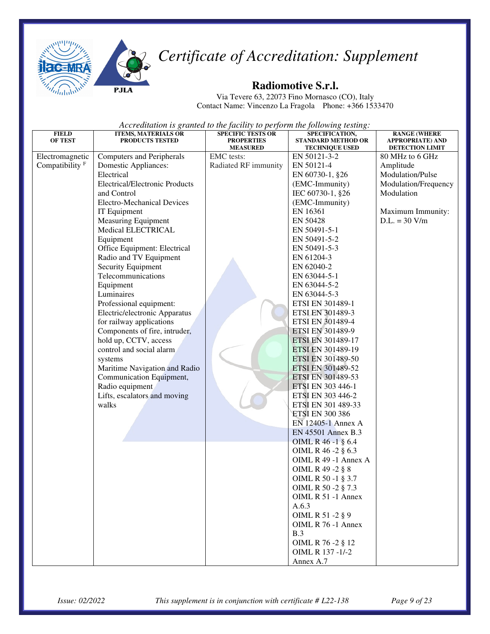



Via Tevere 63, 22073 Fino Mornasco (CO), Italy Contact Name: Vincenzo La Fragola Phone: +366 1533470

| <b>FIELD</b><br><b>OF TEST</b> | <b>ITEMS, MATERIALS OR</b><br><b>PRODUCTS TESTED</b>      | <b>SPECIFIC TESTS OR</b><br><b>PROPERTIES</b><br><b>MEASURED</b> | SPECIFICATION,<br><b>STANDARD METHOD OR</b><br><b>TECHNIQUE USED</b> | <b>RANGE (WHERE</b><br><b>APPROPRIATE) AND</b><br>DETECTION LIMIT |
|--------------------------------|-----------------------------------------------------------|------------------------------------------------------------------|----------------------------------------------------------------------|-------------------------------------------------------------------|
| Electromagnetic                | <b>Computers and Peripherals</b>                          | EMC tests:                                                       | EN 50121-3-2                                                         | 80 MHz to 6 GHz                                                   |
| Compatibility <sup>F</sup>     | Domestic Appliances:                                      | Radiated RF immunity                                             | EN 50121-4                                                           | Amplitude                                                         |
|                                | Electrical                                                |                                                                  | EN 60730-1, §26                                                      | Modulation/Pulse                                                  |
|                                | <b>Electrical/Electronic Products</b>                     |                                                                  | (EMC-Immunity)                                                       | Modulation/Frequency                                              |
|                                | and Control                                               |                                                                  | IEC 60730-1, §26                                                     | Modulation                                                        |
|                                | <b>Electro-Mechanical Devices</b>                         |                                                                  | (EMC-Immunity)                                                       |                                                                   |
|                                | IT Equipment                                              |                                                                  | EN 16361                                                             | Maximum Immunity:                                                 |
|                                | <b>Measuring Equipment</b>                                |                                                                  | EN 50428                                                             | $D.L. = 30 V/m$                                                   |
|                                | Medical ELECTRICAL                                        |                                                                  | EN 50491-5-1                                                         |                                                                   |
|                                | Equipment                                                 |                                                                  | EN 50491-5-2                                                         |                                                                   |
|                                | Office Equipment: Electrical                              |                                                                  | EN 50491-5-3                                                         |                                                                   |
|                                | Radio and TV Equipment                                    |                                                                  | EN 61204-3                                                           |                                                                   |
|                                | Security Equipment                                        |                                                                  | EN 62040-2                                                           |                                                                   |
|                                | Telecommunications                                        |                                                                  | EN 63044-5-1                                                         |                                                                   |
|                                | Equipment                                                 |                                                                  | EN 63044-5-2                                                         |                                                                   |
|                                | Luminaires                                                |                                                                  | EN 63044-5-3                                                         |                                                                   |
|                                | Professional equipment:                                   |                                                                  | ETSI EN 301489-1                                                     |                                                                   |
|                                | Electric/electronic Apparatus                             |                                                                  | ETSI EN 301489-3                                                     |                                                                   |
|                                | for railway applications                                  |                                                                  | ETSI EN 301489-4                                                     |                                                                   |
|                                | Components of fire, intruder,                             |                                                                  | ETSI EN 301489-9                                                     |                                                                   |
|                                | hold up, CCTV, access                                     |                                                                  | ETSI EN 301489-17                                                    |                                                                   |
|                                | control and social alarm                                  |                                                                  | ETSI EN 301489-19                                                    |                                                                   |
|                                | systems                                                   |                                                                  | ETSI EN 301489-50                                                    |                                                                   |
|                                | Maritime Navigation and Radio<br>Communication Equipment, |                                                                  | ETSI EN 301489-52<br>ETSI EN 301489-53                               |                                                                   |
|                                | Radio equipment                                           |                                                                  | ETSI EN 303 446-1                                                    |                                                                   |
|                                | Lifts, escalators and moving                              |                                                                  | ETSI EN 303 446-2                                                    |                                                                   |
|                                | walks                                                     |                                                                  | ETSI EN 301 489-33                                                   |                                                                   |
|                                |                                                           |                                                                  | <b>ETSI EN 300 386</b>                                               |                                                                   |
|                                |                                                           |                                                                  | EN 12405-1 Annex A                                                   |                                                                   |
|                                |                                                           |                                                                  | EN 45501 Annex B.3                                                   |                                                                   |
|                                |                                                           |                                                                  | OIML R 46 -1 § 6.4                                                   |                                                                   |
|                                |                                                           |                                                                  | OIML R 46 -2 § 6.3                                                   |                                                                   |
|                                |                                                           |                                                                  | OIML R 49 -1 Annex A                                                 |                                                                   |
|                                |                                                           |                                                                  | OIML R 49 -2 § 8                                                     |                                                                   |
|                                |                                                           |                                                                  | OIML R 50 -1 § 3.7                                                   |                                                                   |
|                                |                                                           |                                                                  | OIML R 50 -2 § 7.3                                                   |                                                                   |
|                                |                                                           |                                                                  | OIML R 51 -1 Annex                                                   |                                                                   |
|                                |                                                           |                                                                  | A.6.3                                                                |                                                                   |
|                                |                                                           |                                                                  | OIML R 51 -2 § 9                                                     |                                                                   |
|                                |                                                           |                                                                  | OIML R 76 -1 Annex                                                   |                                                                   |
|                                |                                                           |                                                                  | B.3                                                                  |                                                                   |
|                                |                                                           |                                                                  | OIML R 76 -2 § 12                                                    |                                                                   |
|                                |                                                           |                                                                  | OIML R 137 -1/-2                                                     |                                                                   |
|                                |                                                           |                                                                  | Annex A.7                                                            |                                                                   |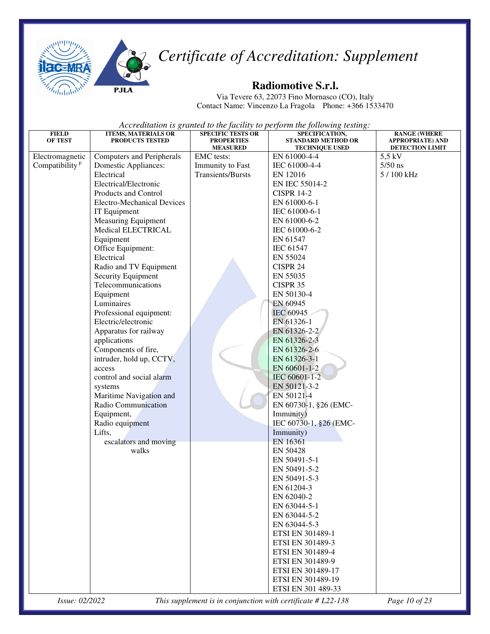



Via Tevere 63, 22073 Fino Mornasco (CO), Italy Contact Name: Vincenzo La Fragola Phone: +366 1533470

*Accreditation is granted to the facility to perform the following testing:*

| <b>FIELD</b>               | <b>ITEMS, MATERIALS OR</b>               | <b>SPECIFIC TESTS OR</b>             | SPECIFICATION,                                     | <b>RANGE (WHERE</b>                        |
|----------------------------|------------------------------------------|--------------------------------------|----------------------------------------------------|--------------------------------------------|
| <b>OF TEST</b>             | <b>PRODUCTS TESTED</b>                   | <b>PROPERTIES</b><br><b>MEASURED</b> | <b>STANDARD METHOD OR</b><br><b>TECHNIQUE USED</b> | <b>APPROPRIATE) AND</b><br>DETECTION LIMIT |
| Electromagnetic            | <b>Computers and Peripherals</b>         | <b>EMC</b> tests:                    | EN 61000-4-4                                       | $5.5$ kV                                   |
| Compatibility <sup>F</sup> | Domestic Appliances:                     | Immunity to Fast                     | IEC 61000-4-4                                      | $5/50$ ns                                  |
|                            | Electrical                               | <b>Transients/Bursts</b>             | EN 12016                                           | 5 / 100 kHz                                |
|                            | Electrical/Electronic                    |                                      | EN IEC 55014-2                                     |                                            |
|                            | Products and Control                     |                                      | <b>CISPR 14-2</b>                                  |                                            |
|                            | <b>Electro-Mechanical Devices</b>        |                                      | EN 61000-6-1                                       |                                            |
|                            | IT Equipment                             |                                      | IEC 61000-6-1                                      |                                            |
|                            | <b>Measuring Equipment</b>               |                                      | EN 61000-6-2                                       |                                            |
|                            | Medical ELECTRICAL                       |                                      | IEC 61000-6-2                                      |                                            |
|                            | Equipment                                |                                      | EN 61547                                           |                                            |
|                            | Office Equipment:                        |                                      | <b>IEC 61547</b>                                   |                                            |
|                            | Electrical                               |                                      | EN 55024                                           |                                            |
|                            | Radio and TV Equipment                   |                                      | CISPR 24                                           |                                            |
|                            | Security Equipment<br>Telecommunications |                                      | EN 55035                                           |                                            |
|                            |                                          |                                      | CISPR 35                                           |                                            |
|                            | Equipment<br>Luminaires                  |                                      | EN 50130-4<br>EN 60945                             |                                            |
|                            | Professional equipment:                  |                                      | IEC 60945                                          |                                            |
|                            | Electric/electronic                      |                                      | EN 61326-1                                         |                                            |
|                            | Apparatus for railway                    |                                      | EN 61326-2-2                                       |                                            |
|                            | applications                             |                                      | EN 61326-2-3                                       |                                            |
|                            | Components of fire,                      |                                      | EN 61326-2-6                                       |                                            |
|                            | intruder, hold up, CCTV,                 |                                      | EN 61326-3-1                                       |                                            |
|                            | access                                   |                                      | EN 60601-1-2                                       |                                            |
|                            | control and social alarm                 |                                      | IEC 60601-1-2                                      |                                            |
|                            | systems                                  |                                      | EN 50121-3-2                                       |                                            |
|                            | Maritime Navigation and                  |                                      | EN 50121-4                                         |                                            |
|                            | Radio Communication                      |                                      | EN 60730-1, §26 (EMC-                              |                                            |
|                            | Equipment,                               |                                      | Immunity)                                          |                                            |
|                            | Radio equipment                          |                                      | IEC 60730-1, §26 (EMC-                             |                                            |
|                            | Lifts,                                   |                                      | Immunity)                                          |                                            |
|                            | escalators and moving                    |                                      | EN 16361                                           |                                            |
|                            | walks                                    |                                      | <b>EN 50428</b>                                    |                                            |
|                            |                                          |                                      | EN 50491-5-1                                       |                                            |
|                            |                                          |                                      | EN 50491-5-2<br>EN 50491-5-3                       |                                            |
|                            |                                          |                                      | EN 61204-3                                         |                                            |
|                            |                                          |                                      | EN 62040-2                                         |                                            |
|                            |                                          |                                      | EN 63044-5-1                                       |                                            |
|                            |                                          |                                      | EN 63044-5-2                                       |                                            |
|                            |                                          |                                      | EN 63044-5-3                                       |                                            |
|                            |                                          |                                      | ETSI EN 301489-1                                   |                                            |
|                            |                                          |                                      | ETSI EN 301489-3                                   |                                            |
|                            |                                          |                                      | ETSI EN 301489-4                                   |                                            |
|                            |                                          |                                      | ETSI EN 301489-9                                   |                                            |
|                            |                                          |                                      | ETSI EN 301489-17                                  |                                            |
|                            |                                          |                                      | ETSI EN 301489-19                                  |                                            |
|                            |                                          |                                      | ETSI EN 301 489-33                                 |                                            |

*Issue: 02/2022 This supplement is in conjunction with certificate # L22-138 Page 10 of 23*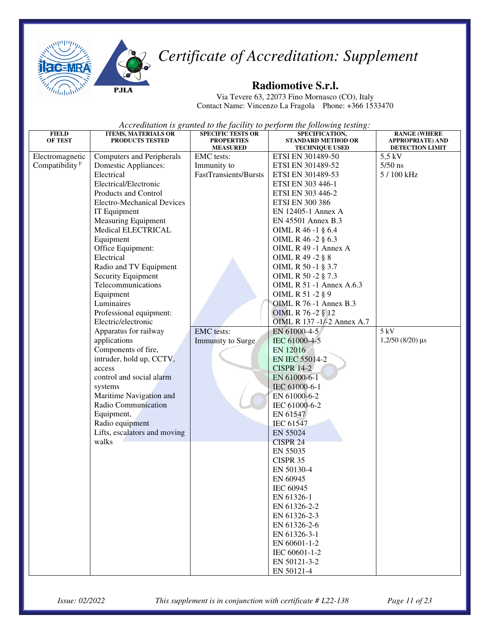



Via Tevere 63, 22073 Fino Mornasco (CO), Italy Contact Name: Vincenzo La Fragola Phone: +366 1533470

| <b>FIELD</b><br><b>OF TEST</b> | <b>ITEMS, MATERIALS OR</b><br>PRODUCTS TESTED | <b>SPECIFIC TESTS OR</b><br><b>PROPERTIES</b><br><b>MEASURED</b> | SPECIFICATION,<br><b>STANDARD METHOD OR</b><br><b>TECHNIQUE USED</b> | <b>RANGE (WHERE</b><br>APPROPRIATE) AND<br><b>DETECTION LIMIT</b> |
|--------------------------------|-----------------------------------------------|------------------------------------------------------------------|----------------------------------------------------------------------|-------------------------------------------------------------------|
| Electromagnetic                | <b>Computers and Peripherals</b>              | EMC tests:                                                       | ETSI EN 301489-50                                                    | $5.5$ kV                                                          |
| Compatibility <sup>F</sup>     | <b>Domestic Appliances:</b>                   | Immunity to                                                      | ETSI EN 301489-52                                                    | $5/50$ ns                                                         |
|                                | Electrical                                    | <b>FastTransients/Bursts</b>                                     | ETSI EN 301489-53                                                    | 5 / 100 kHz                                                       |
|                                | Electrical/Electronic                         |                                                                  | ETSI EN 303 446-1                                                    |                                                                   |
|                                | Products and Control                          |                                                                  | ETSI EN 303 446-2                                                    |                                                                   |
|                                | <b>Electro-Mechanical Devices</b>             |                                                                  | <b>ETSI EN 300 386</b>                                               |                                                                   |
|                                | IT Equipment                                  |                                                                  | EN 12405-1 Annex A                                                   |                                                                   |
|                                | <b>Measuring Equipment</b>                    |                                                                  | EN 45501 Annex B.3                                                   |                                                                   |
|                                | Medical ELECTRICAL                            |                                                                  | OIML R 46 -1 § 6.4                                                   |                                                                   |
|                                | Equipment                                     |                                                                  | OIML R 46 -2 § 6.3                                                   |                                                                   |
|                                | Office Equipment:                             |                                                                  | OIML R 49 -1 Annex A                                                 |                                                                   |
|                                | Electrical                                    |                                                                  | OIML R 49 -2 § 8                                                     |                                                                   |
|                                | Radio and TV Equipment                        |                                                                  | OIML R 50 -1 § 3.7                                                   |                                                                   |
|                                | Security Equipment                            |                                                                  | OIML R 50 -2 § 7.3                                                   |                                                                   |
|                                | Telecommunications                            |                                                                  | <b>OIML R 51 -1 Annex A.6.3</b>                                      |                                                                   |
|                                | Equipment                                     |                                                                  | OIML R 51 -2 § 9                                                     |                                                                   |
|                                | Luminaires                                    |                                                                  | <b>OIML R 76 -1 Annex B.3</b>                                        |                                                                   |
|                                | Professional equipment:                       |                                                                  | OIML R 76 - 2 § 12                                                   |                                                                   |
|                                | Electric/electronic                           |                                                                  | OIML R 137 -1/-2 Annex A.7                                           |                                                                   |
|                                | Apparatus for railway                         | <b>EMC</b> tests:                                                | EN 61000-4-5                                                         | 5 kV                                                              |
|                                | applications                                  | <b>Immunity to Surge</b>                                         | IEC 61000-4-5                                                        | $1,2/50$ (8/20) $\mu s$                                           |
|                                | Components of fire,                           |                                                                  | EN 12016                                                             |                                                                   |
|                                | intruder, hold up, CCTV,                      |                                                                  | <b>EN IEC 55014-2</b>                                                |                                                                   |
|                                | access<br>control and social alarm            |                                                                  | <b>CISPR 14-2</b>                                                    |                                                                   |
|                                |                                               |                                                                  | EN 61000-6-1                                                         |                                                                   |
|                                | systems<br>Maritime Navigation and            |                                                                  | IEC 61000-6-1                                                        |                                                                   |
|                                | Radio Communication                           |                                                                  | EN 61000-6-2<br>IEC 61000-6-2                                        |                                                                   |
|                                | Equipment,                                    |                                                                  | EN 61547                                                             |                                                                   |
|                                | Radio equipment                               |                                                                  | <b>IEC 61547</b>                                                     |                                                                   |
|                                | Lifts, escalators and moving                  |                                                                  | EN 55024                                                             |                                                                   |
|                                | walks                                         |                                                                  | CISPR 24                                                             |                                                                   |
|                                |                                               |                                                                  | EN 55035                                                             |                                                                   |
|                                |                                               |                                                                  | CISPR 35                                                             |                                                                   |
|                                |                                               |                                                                  | EN 50130-4                                                           |                                                                   |
|                                |                                               |                                                                  | EN 60945                                                             |                                                                   |
|                                |                                               |                                                                  | IEC 60945                                                            |                                                                   |
|                                |                                               |                                                                  | EN 61326-1                                                           |                                                                   |
|                                |                                               |                                                                  | EN 61326-2-2                                                         |                                                                   |
|                                |                                               |                                                                  | EN 61326-2-3                                                         |                                                                   |
|                                |                                               |                                                                  | EN 61326-2-6                                                         |                                                                   |
|                                |                                               |                                                                  | EN 61326-3-1                                                         |                                                                   |
|                                |                                               |                                                                  | EN 60601-1-2                                                         |                                                                   |
|                                |                                               |                                                                  | IEC 60601-1-2                                                        |                                                                   |
|                                |                                               |                                                                  | EN 50121-3-2                                                         |                                                                   |
|                                |                                               |                                                                  | EN 50121-4                                                           |                                                                   |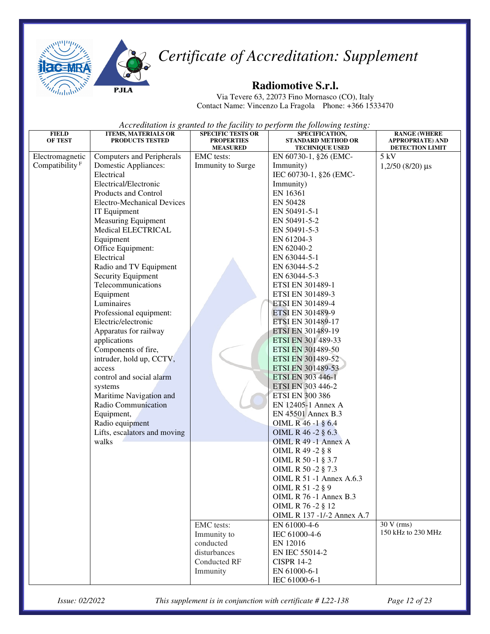

#### **Radiomotive S.r.l.**

Via Tevere 63, 22073 Fino Mornasco (CO), Italy Contact Name: Vincenzo La Fragola Phone: +366 1533470

*Accreditation is granted to the facility to perform the following testing:*

| <b>FIELD</b>               | <b>ITEMS, MATERIALS OR</b>         | <b>SPECIFIC TESTS OR</b>             | SPECIFICATION,                                     | <b>RANGE (WHERE</b>                 |
|----------------------------|------------------------------------|--------------------------------------|----------------------------------------------------|-------------------------------------|
| <b>OF TEST</b>             | PRODUCTS TESTED                    | <b>PROPERTIES</b><br><b>MEASURED</b> | <b>STANDARD METHOD OR</b><br><b>TECHNIQUE USED</b> | APPROPRIATE) AND<br>DETECTION LIMIT |
| Electromagnetic            | <b>Computers and Peripherals</b>   | <b>EMC</b> tests:                    | EN 60730-1, §26 (EMC-                              | 5 kV                                |
| Compatibility <sup>F</sup> | Domestic Appliances:               | Immunity to Surge                    | Immunity)                                          | $1,2/50$ (8/20) $\mu s$             |
|                            | Electrical                         |                                      | IEC 60730-1, §26 (EMC-                             |                                     |
|                            | Electrical/Electronic              |                                      | Immunity)                                          |                                     |
|                            | Products and Control               |                                      | EN 16361                                           |                                     |
|                            | <b>Electro-Mechanical Devices</b>  |                                      | EN 50428                                           |                                     |
|                            | IT Equipment                       |                                      | EN 50491-5-1                                       |                                     |
|                            | <b>Measuring Equipment</b>         |                                      | EN 50491-5-2                                       |                                     |
|                            | Medical ELECTRICAL                 |                                      | EN 50491-5-3                                       |                                     |
|                            | Equipment                          |                                      | EN 61204-3                                         |                                     |
|                            | Office Equipment:                  |                                      | EN 62040-2                                         |                                     |
|                            | Electrical                         |                                      | EN 63044-5-1                                       |                                     |
|                            | Radio and TV Equipment             |                                      | EN 63044-5-2                                       |                                     |
|                            | Security Equipment                 |                                      | EN 63044-5-3                                       |                                     |
|                            | Telecommunications                 |                                      | ETSI EN 301489-1                                   |                                     |
|                            | Equipment                          |                                      | ETSI EN 301489-3                                   |                                     |
|                            | Luminaires                         |                                      | <b>ETSI EN 301489-4</b>                            |                                     |
|                            | Professional equipment:            |                                      | <b>ETSI EN 301489-9</b>                            |                                     |
|                            | Electric/electronic                |                                      | ETSI EN 301489-17                                  |                                     |
|                            | Apparatus for railway              |                                      | ETSI EN 301489-19                                  |                                     |
|                            | applications                       |                                      | ETSI EN 301 489-33                                 |                                     |
|                            | Components of fire,                |                                      | ETSI EN 301489-50                                  |                                     |
|                            | intruder, hold up, CCTV,           |                                      | ETSI EN 301489-52                                  |                                     |
|                            | access<br>control and social alarm |                                      | ETSI EN 301489-53<br>ETSI EN 303 446-1             |                                     |
|                            |                                    |                                      | ETSI EN 303 446-2                                  |                                     |
|                            | systems<br>Maritime Navigation and |                                      | <b>ETSI EN 300 386</b>                             |                                     |
|                            | Radio Communication                |                                      | EN 12405-1 Annex A                                 |                                     |
|                            | Equipment,                         |                                      | EN 45501 Annex B.3                                 |                                     |
|                            | Radio equipment                    |                                      | OIML R 46 -1 § 6.4                                 |                                     |
|                            | Lifts, escalators and moving       |                                      | OIML R 46 -2 § 6.3                                 |                                     |
|                            | walks                              |                                      | OIML R 49 -1 Annex A                               |                                     |
|                            |                                    |                                      | OIML R 49 -2 § 8                                   |                                     |
|                            |                                    |                                      | OIML R 50 -1 § 3.7                                 |                                     |
|                            |                                    |                                      | OIML R 50 -2 § 7.3                                 |                                     |
|                            |                                    |                                      | OIML R 51 -1 Annex A.6.3                           |                                     |
|                            |                                    |                                      | OIML R 51 -2 § 9                                   |                                     |
|                            |                                    |                                      | OIML R 76 -1 Annex B.3                             |                                     |
|                            |                                    |                                      | OIML R 76 -2 § 12                                  |                                     |
|                            |                                    |                                      | OIML R 137 -1/-2 Annex A.7                         |                                     |
|                            |                                    | EMC tests:                           | EN 61000-4-6                                       | $30 V$ (rms)                        |
|                            |                                    | Immunity to                          | IEC 61000-4-6                                      | 150 kHz to 230 MHz                  |
|                            |                                    | conducted                            | EN 12016                                           |                                     |
|                            |                                    | disturbances                         | EN IEC 55014-2                                     |                                     |
|                            |                                    | <b>Conducted RF</b>                  | <b>CISPR 14-2</b>                                  |                                     |
|                            |                                    | Immunity                             | EN 61000-6-1                                       |                                     |
|                            |                                    |                                      | IEC 61000-6-1                                      |                                     |

*Issue: 02/2022 This supplement is in conjunction with certificate # L22-138 Page 12 of 23*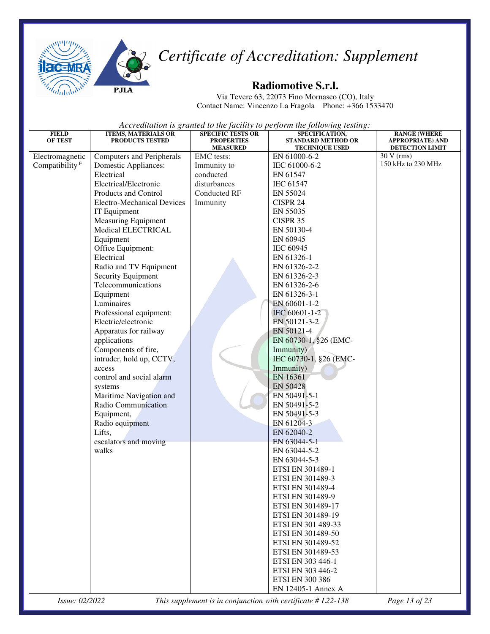



Via Tevere 63, 22073 Fino Mornasco (CO), Italy Contact Name: Vincenzo La Fragola Phone: +366 1533470

*Accreditation is granted to the facility to perform the following testing:*

| <b>FIELD</b>               | <b>ITEMS, MATERIALS OR</b>        | <b>SPECIFIC TESTS OR</b>             | SPECIFICATION,                                     | <b>RANGE (WHERE</b>                               |
|----------------------------|-----------------------------------|--------------------------------------|----------------------------------------------------|---------------------------------------------------|
| <b>OF TEST</b>             | PRODUCTS TESTED                   | <b>PROPERTIES</b><br><b>MEASURED</b> | <b>STANDARD METHOD OR</b><br><b>TECHNIQUE USED</b> | <b>APPROPRIATE) AND</b><br><b>DETECTION LIMIT</b> |
| Electromagnetic            | Computers and Peripherals         | <b>EMC</b> tests:                    | EN 61000-6-2                                       | 30 V (rms)                                        |
| Compatibility <sup>F</sup> | <b>Domestic Appliances:</b>       | Immunity to                          | IEC 61000-6-2                                      | 150 kHz to 230 MHz                                |
|                            | Electrical                        | conducted                            | EN 61547                                           |                                                   |
|                            | Electrical/Electronic             | disturbances                         | <b>IEC 61547</b>                                   |                                                   |
|                            | Products and Control              | Conducted RF                         | EN 55024                                           |                                                   |
|                            | <b>Electro-Mechanical Devices</b> | Immunity                             | CISPR 24                                           |                                                   |
|                            | IT Equipment                      |                                      | EN 55035                                           |                                                   |
|                            | Measuring Equipment               |                                      | CISPR 35                                           |                                                   |
|                            | Medical ELECTRICAL                |                                      | EN 50130-4                                         |                                                   |
|                            | Equipment                         |                                      | EN 60945                                           |                                                   |
|                            | Office Equipment:                 |                                      | IEC 60945                                          |                                                   |
|                            | Electrical                        |                                      | EN 61326-1                                         |                                                   |
|                            | Radio and TV Equipment            |                                      | EN 61326-2-2                                       |                                                   |
|                            | Security Equipment                |                                      | EN 61326-2-3                                       |                                                   |
|                            | Telecommunications                |                                      | EN 61326-2-6                                       |                                                   |
|                            | Equipment                         |                                      | EN 61326-3-1                                       |                                                   |
|                            | Luminaires                        |                                      | EN 60601-1-2                                       |                                                   |
|                            | Professional equipment:           |                                      | IEC 60601-1-2                                      |                                                   |
|                            | Electric/electronic               |                                      | EN 50121-3-2                                       |                                                   |
|                            | Apparatus for railway             |                                      | EN 50121-4                                         |                                                   |
|                            | applications                      |                                      | EN 60730-1, §26 (EMC-                              |                                                   |
|                            | Components of fire,               |                                      | Immunity)                                          |                                                   |
|                            | intruder, hold up, CCTV,          |                                      | IEC 60730-1, §26 (EMC-                             |                                                   |
|                            | access                            |                                      | Immunity)                                          |                                                   |
|                            | control and social alarm          |                                      | EN 16361                                           |                                                   |
|                            | systems                           |                                      | EN 50428                                           |                                                   |
|                            | Maritime Navigation and           |                                      | EN 50491-5-1                                       |                                                   |
|                            | Radio Communication               |                                      | EN 50491-5-2                                       |                                                   |
|                            | Equipment,                        |                                      | EN 50491-5-3                                       |                                                   |
|                            | Radio equipment                   |                                      | EN 61204-3                                         |                                                   |
|                            | Lifts,                            |                                      | EN 62040-2                                         |                                                   |
|                            | escalators and moving             |                                      | EN 63044-5-1                                       |                                                   |
|                            | walks                             |                                      | EN 63044-5-2                                       |                                                   |
|                            |                                   |                                      | EN 63044-5-3                                       |                                                   |
|                            |                                   |                                      | ETSI EN 301489-1                                   |                                                   |
|                            |                                   |                                      | ETSI EN 301489-3                                   |                                                   |
|                            |                                   |                                      | <b>ETSI EN 301489-4</b>                            |                                                   |
|                            |                                   |                                      | ETSI EN 301489-9                                   |                                                   |
|                            |                                   |                                      | ETSI EN 301489-17                                  |                                                   |
|                            |                                   |                                      | ETSI EN 301489-19                                  |                                                   |
|                            |                                   |                                      | ETSI EN 301 489-33                                 |                                                   |
|                            |                                   |                                      | ETSI EN 301489-50                                  |                                                   |
|                            |                                   |                                      | ETSI EN 301489-52                                  |                                                   |
|                            |                                   |                                      | ETSI EN 301489-53                                  |                                                   |
|                            |                                   |                                      | ETSI EN 303 446-1                                  |                                                   |
|                            |                                   |                                      | ETSI EN 303 446-2                                  |                                                   |
|                            |                                   |                                      | <b>ETSI EN 300 386</b>                             |                                                   |
|                            |                                   |                                      | EN 12405-1 Annex A                                 |                                                   |

*Issue: 02/2022 This supplement is in conjunction with certificate # L22-138 Page 13 of 23*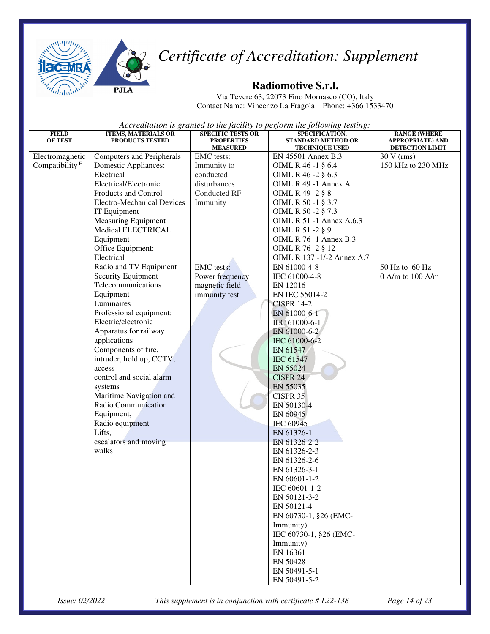



Via Tevere 63, 22073 Fino Mornasco (CO), Italy Contact Name: Vincenzo La Fragola Phone: +366 1533470

*Accreditation is granted to the facility to perform the following testing:*

| <b>FIELD</b>               | <b>ITEMS, MATERIALS OR</b>                     | <b>SPECIFIC TESTS OR</b>             | SPECIFICATION,                                     | <b>RANGE (WHERE</b>                        |
|----------------------------|------------------------------------------------|--------------------------------------|----------------------------------------------------|--------------------------------------------|
| <b>OF TEST</b>             | PRODUCTS TESTED                                | <b>PROPERTIES</b><br><b>MEASURED</b> | <b>STANDARD METHOD OR</b><br><b>TECHNIQUE USED</b> | <b>APPROPRIATE) AND</b><br>DETECTION LIMIT |
| Electromagnetic            | <b>Computers and Peripherals</b>               | EMC tests:                           | EN 45501 Annex B.3                                 | $30 V$ (rms)                               |
| Compatibility <sup>F</sup> | Domestic Appliances:                           | Immunity to                          | OIML R 46 -1 § 6.4                                 | 150 kHz to 230 MHz                         |
|                            | Electrical                                     | conducted                            | OIML R 46 -2 § 6.3                                 |                                            |
|                            | Electrical/Electronic                          | disturbances                         | OIML R 49 -1 Annex A                               |                                            |
|                            | Products and Control                           | Conducted RF                         | OIML R 49 -2 § 8                                   |                                            |
|                            | <b>Electro-Mechanical Devices</b>              | Immunity                             | OIML R 50 -1 § 3.7                                 |                                            |
|                            | IT Equipment                                   |                                      | OIML R 50 -2 § 7.3                                 |                                            |
|                            | <b>Measuring Equipment</b>                     |                                      | OIML R 51 -1 Annex A.6.3                           |                                            |
|                            | Medical ELECTRICAL                             |                                      | OIML R 51 -2 § 9                                   |                                            |
|                            | Equipment                                      |                                      | <b>OIML R 76 -1 Annex B.3</b>                      |                                            |
|                            | Office Equipment:                              |                                      | OIML R 76 -2 § 12                                  |                                            |
|                            | Electrical                                     |                                      | OIML R 137 -1/-2 Annex A.7                         |                                            |
|                            | Radio and TV Equipment                         | <b>EMC</b> tests:                    | EN 61000-4-8                                       | 50 Hz to 60 Hz                             |
|                            | Security Equipment                             | Power frequency                      | IEC 61000-4-8                                      | $0$ A/m to $100$ A/m                       |
|                            | Telecommunications                             | magnetic field                       | EN 12016                                           |                                            |
|                            | Equipment                                      | immunity test                        | EN IEC 55014-2                                     |                                            |
|                            | Luminaires                                     |                                      | <b>CISPR 14-2</b>                                  |                                            |
|                            | Professional equipment:<br>Electric/electronic |                                      | EN 61000-6-1                                       |                                            |
|                            | Apparatus for railway                          |                                      | IEC 61000-6-1                                      |                                            |
|                            | applications                                   |                                      | EN 61000-6-2<br>IEC 61000-6-2                      |                                            |
|                            | Components of fire,                            |                                      | EN 61547                                           |                                            |
|                            | intruder, hold up, CCTV,                       |                                      | <b>IEC 61547</b>                                   |                                            |
|                            | access                                         |                                      | EN 55024                                           |                                            |
|                            | control and social alarm                       |                                      | <b>CISPR 24</b>                                    |                                            |
|                            | systems                                        |                                      | EN 55035                                           |                                            |
|                            | Maritime Navigation and                        |                                      | CISPR 35                                           |                                            |
|                            | Radio Communication                            |                                      | EN 50130-4                                         |                                            |
|                            | Equipment,                                     |                                      | EN 60945                                           |                                            |
|                            | Radio equipment                                |                                      | IEC 60945                                          |                                            |
|                            | Lifts,                                         |                                      | EN 61326-1                                         |                                            |
|                            | escalators and moving                          |                                      | EN 61326-2-2                                       |                                            |
|                            | walks                                          |                                      | EN 61326-2-3                                       |                                            |
|                            |                                                |                                      | EN 61326-2-6                                       |                                            |
|                            |                                                |                                      | EN 61326-3-1                                       |                                            |
|                            |                                                |                                      | EN 60601-1-2                                       |                                            |
|                            |                                                |                                      | IEC 60601-1-2                                      |                                            |
|                            |                                                |                                      | EN 50121-3-2                                       |                                            |
|                            |                                                |                                      | EN 50121-4                                         |                                            |
|                            |                                                |                                      | EN 60730-1, §26 (EMC-                              |                                            |
|                            |                                                |                                      | Immunity)                                          |                                            |
|                            |                                                |                                      | IEC 60730-1, §26 (EMC-                             |                                            |
|                            |                                                |                                      | Immunity)                                          |                                            |
|                            |                                                |                                      | EN 16361                                           |                                            |
|                            |                                                |                                      | EN 50428                                           |                                            |
|                            |                                                |                                      | EN 50491-5-1<br>EN 50491-5-2                       |                                            |
|                            |                                                |                                      |                                                    |                                            |

*Issue: 02/2022 This supplement is in conjunction with certificate # L22-138 Page 14 of 23*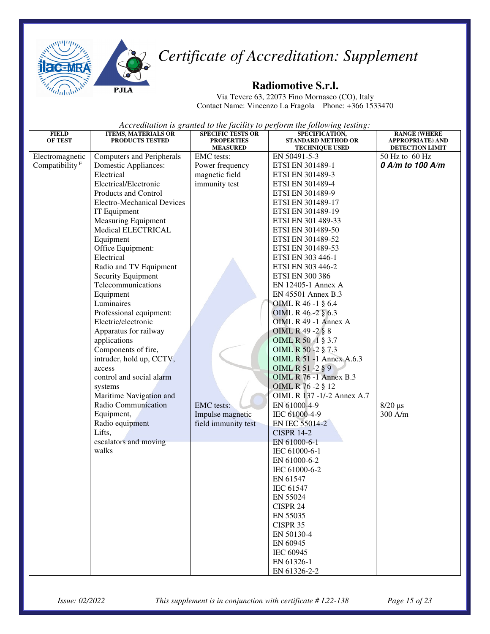



Via Tevere 63, 22073 Fino Mornasco (CO), Italy Contact Name: Vincenzo La Fragola Phone: +366 1533470

| <b>FIELD</b>               | <b>ITEMS, MATERIALS OR</b>                 | <b>SPECIFIC TESTS OR</b>      | SPECIFICATION,                        | <b>RANGE (WHERE</b>                          |
|----------------------------|--------------------------------------------|-------------------------------|---------------------------------------|----------------------------------------------|
| <b>OF TEST</b>             | PRODUCTS TESTED                            | <b>PROPERTIES</b>             | <b>STANDARD METHOD OR</b>             | <b>APPROPRIATE) AND</b>                      |
| Electromagnetic            | <b>Computers and Peripherals</b>           | <b>MEASURED</b><br>EMC tests: | <b>TECHNIQUE USED</b><br>EN 50491-5-3 | <b>DETECTION LIMIT</b><br>$50$ Hz to $60$ Hz |
| Compatibility <sup>F</sup> | <b>Domestic Appliances:</b>                | Power frequency               | ETSI EN 301489-1                      | 0 A/m to 100 A/m                             |
|                            | Electrical                                 | magnetic field                | ETSI EN 301489-3                      |                                              |
|                            | Electrical/Electronic                      | immunity test                 | ETSI EN 301489-4                      |                                              |
|                            | Products and Control                       |                               | ETSI EN 301489-9                      |                                              |
|                            | <b>Electro-Mechanical Devices</b>          |                               | ETSI EN 301489-17                     |                                              |
|                            |                                            |                               | ETSI EN 301489-19                     |                                              |
|                            | IT Equipment<br><b>Measuring Equipment</b> |                               |                                       |                                              |
|                            | Medical ELECTRICAL                         |                               | ETSI EN 301 489-33                    |                                              |
|                            |                                            |                               | ETSI EN 301489-50                     |                                              |
|                            | Equipment                                  |                               | ETSI EN 301489-52                     |                                              |
|                            | Office Equipment:                          |                               | ETSI EN 301489-53                     |                                              |
|                            | Electrical                                 |                               | ETSI EN 303 446-1                     |                                              |
|                            | Radio and TV Equipment                     |                               | ETSI EN 303 446-2                     |                                              |
|                            | Security Equipment                         |                               | <b>ETSI EN 300 386</b>                |                                              |
|                            | Telecommunications                         |                               | EN 12405-1 Annex A                    |                                              |
|                            | Equipment                                  |                               | EN 45501 Annex B.3                    |                                              |
|                            | Luminaires                                 |                               | OIML R 46 -1 § 6.4                    |                                              |
|                            | Professional equipment:                    |                               | OIML R 46 - 2 § 6.3                   |                                              |
|                            | Electric/electronic                        |                               | OIML R 49 -1 Annex A                  |                                              |
|                            | Apparatus for railway                      |                               | OIML R 49 -2 § 8                      |                                              |
|                            | applications                               |                               | OIML R 50 -1 § 3.7                    |                                              |
|                            | Components of fire,                        |                               | OIML R 50 -2 § 7.3                    |                                              |
|                            | intruder, hold up, CCTV,                   |                               | <b>OIML R 51 -1 Annex A.6.3</b>       |                                              |
|                            | access                                     |                               | OIML R 51 -2 § 9                      |                                              |
|                            | control and social alarm                   |                               | <b>OIML R 76 -1 Annex B.3</b>         |                                              |
|                            | systems                                    |                               | OIML R 76 - 2 § 12                    |                                              |
|                            | Maritime Navigation and                    |                               | OIML R 137 -1/-2 Annex A.7            |                                              |
|                            | Radio Communication                        | <b>EMC</b> tests:             | EN 61000-4-9                          | $8/20 \ \mu s$                               |
|                            | Equipment,                                 | Impulse magnetic              | IEC 61000-4-9                         | 300 A/m                                      |
|                            | Radio equipment                            | field immunity test           | EN IEC 55014-2                        |                                              |
|                            | Lifts,                                     |                               | <b>CISPR 14-2</b>                     |                                              |
|                            | escalators and moving                      |                               | EN 61000-6-1                          |                                              |
|                            | walks                                      |                               | IEC 61000-6-1                         |                                              |
|                            |                                            |                               | EN 61000-6-2                          |                                              |
|                            |                                            |                               | IEC 61000-6-2                         |                                              |
|                            |                                            |                               | EN 61547                              |                                              |
|                            |                                            |                               | <b>IEC 61547</b>                      |                                              |
|                            |                                            |                               | EN 55024                              |                                              |
|                            |                                            |                               | CISPR 24                              |                                              |
|                            |                                            |                               | EN 55035                              |                                              |
|                            |                                            |                               | CISPR 35                              |                                              |
|                            |                                            |                               | EN 50130-4                            |                                              |
|                            |                                            |                               | EN 60945                              |                                              |
|                            |                                            |                               | IEC 60945                             |                                              |
|                            |                                            |                               | EN 61326-1                            |                                              |
|                            |                                            |                               | EN 61326-2-2                          |                                              |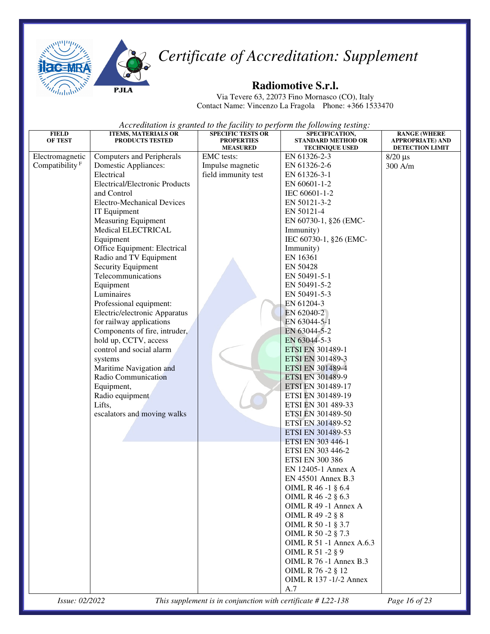

**PJLA** 



#### **Radiomotive S.r.l.**

Via Tevere 63, 22073 Fino Mornasco (CO), Italy Contact Name: Vincenzo La Fragola Phone: +366 1533470

*Accreditation is granted to the facility to perform the following testing:* 

| <b>FIELD</b>               | <b>ITEMS, MATERIALS OR</b>            | <b>SPECIFIC TESTS OR</b>             | SPECIFICATION,                                     | <b>RANGE (WHERE</b>                        |
|----------------------------|---------------------------------------|--------------------------------------|----------------------------------------------------|--------------------------------------------|
| <b>OF TEST</b>             | PRODUCTS TESTED                       | <b>PROPERTIES</b><br><b>MEASURED</b> | <b>STANDARD METHOD OR</b><br><b>TECHNIQUE USED</b> | <b>APPROPRIATE) AND</b><br>DETECTION LIMIT |
| Electromagnetic            | <b>Computers and Peripherals</b>      | <b>EMC</b> tests:                    | EN 61326-2-3                                       | $8/20 \mu s$                               |
| Compatibility <sup>F</sup> | <b>Domestic Appliances:</b>           | Impulse magnetic                     | EN 61326-2-6                                       | 300 A/m                                    |
|                            | Electrical                            | field immunity test                  | EN 61326-3-1                                       |                                            |
|                            | <b>Electrical/Electronic Products</b> |                                      | EN 60601-1-2                                       |                                            |
|                            | and Control                           |                                      | IEC 60601-1-2                                      |                                            |
|                            | <b>Electro-Mechanical Devices</b>     |                                      | EN 50121-3-2                                       |                                            |
|                            | IT Equipment                          |                                      | EN 50121-4                                         |                                            |
|                            | <b>Measuring Equipment</b>            |                                      | EN 60730-1, §26 (EMC-                              |                                            |
|                            | Medical ELECTRICAL                    |                                      | Immunity)                                          |                                            |
|                            | Equipment                             |                                      | IEC 60730-1, §26 (EMC-                             |                                            |
|                            | Office Equipment: Electrical          |                                      | Immunity)                                          |                                            |
|                            | Radio and TV Equipment                |                                      | EN 16361                                           |                                            |
|                            | Security Equipment                    |                                      | EN 50428                                           |                                            |
|                            | Telecommunications                    |                                      | EN 50491-5-1                                       |                                            |
|                            | Equipment                             |                                      | EN 50491-5-2                                       |                                            |
|                            | Luminaires                            |                                      | EN 50491-5-3                                       |                                            |
|                            | Professional equipment:               |                                      | EN 61204-3                                         |                                            |
|                            | Electric/electronic Apparatus         |                                      | EN 62040-2                                         |                                            |
|                            | for railway applications              |                                      | EN 63044-5-1                                       |                                            |
|                            | Components of fire, intruder,         |                                      | EN 63044-5-2                                       |                                            |
|                            | hold up, CCTV, access                 |                                      | EN 63044-5-3                                       |                                            |
|                            | control and social alarm              |                                      | <b>ETSI EN 301489-1</b>                            |                                            |
|                            | systems                               |                                      | <b>ETSI EN 301489-3</b>                            |                                            |
|                            | Maritime Navigation and               |                                      | <b>ETSI EN 301489-4</b>                            |                                            |
|                            | Radio Communication                   |                                      | <b>ETSI EN 301489-9</b>                            |                                            |
|                            | Equipment,                            |                                      | ETSI EN 301489-17                                  |                                            |
|                            | Radio equipment                       |                                      | ETSI EN 301489-19                                  |                                            |
|                            | Lifts,                                |                                      | ETSI EN 301 489-33                                 |                                            |
|                            | escalators and moving walks           |                                      | ETSI EN 301489-50                                  |                                            |
|                            |                                       |                                      | ETSI EN 301489-52                                  |                                            |
|                            |                                       |                                      | ETSI EN 301489-53                                  |                                            |
|                            |                                       |                                      | ETSI EN 303 446-1                                  |                                            |
|                            |                                       |                                      | ETSI EN 303 446-2                                  |                                            |
|                            |                                       |                                      | <b>ETSI EN 300 386</b>                             |                                            |
|                            |                                       |                                      | EN 12405-1 Annex A                                 |                                            |
|                            |                                       |                                      | EN 45501 Annex B.3                                 |                                            |
|                            |                                       |                                      | OIML R 46 -1 § 6.4                                 |                                            |
|                            |                                       |                                      | OIML R 46 -2 § 6.3                                 |                                            |
|                            |                                       |                                      | OIML R 49 -1 Annex A                               |                                            |
|                            |                                       |                                      | OIML R 49 -2 § 8                                   |                                            |
|                            |                                       |                                      | OIML R 50 -1 § 3.7                                 |                                            |
|                            |                                       |                                      | OIML R 50 -2 § 7.3<br>OIML R 51 -1 Annex A.6.3     |                                            |
|                            |                                       |                                      | OIML R 51 -2 § 9                                   |                                            |
|                            |                                       |                                      | <b>OIML R 76 -1 Annex B.3</b>                      |                                            |
|                            |                                       |                                      | OIML R 76 -2 § 12                                  |                                            |
|                            |                                       |                                      | OIML R 137 -1/-2 Annex                             |                                            |
|                            |                                       |                                      |                                                    |                                            |
|                            |                                       |                                      | A.7                                                |                                            |

*Issue: 02/2022 This supplement is in conjunction with certificate # L22-138 Page 16 of 23*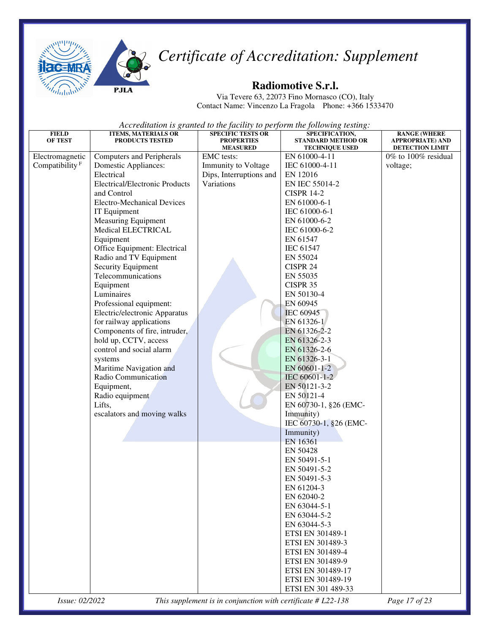

**PJLA** 



#### **Radiomotive S.r.l.**

Via Tevere 63, 22073 Fino Mornasco (CO), Italy Contact Name: Vincenzo La Fragola Phone: +366 1533470

*Accreditation is granted to the facility to perform the following testing:*

| <b>MEASURED</b><br><b>TECHNIQUE USED</b><br><b>DETECTION LIMIT</b><br>EMC tests:<br>Electromagnetic<br>Computers and Peripherals<br>EN 61000-4-11<br>$0\%$ to $100\%$ residual<br>Compatibility <sup>F</sup><br>Immunity to Voltage<br><b>Domestic Appliances:</b><br>IEC 61000-4-11<br>voltage;<br>Electrical<br>Dips, Interruptions and<br>EN 12016<br>Variations<br><b>Electrical/Electronic Products</b><br>EN IEC 55014-2<br>and Control<br><b>CISPR 14-2</b><br><b>Electro-Mechanical Devices</b><br>EN 61000-6-1<br>IT Equipment<br>IEC 61000-6-1<br><b>Measuring Equipment</b><br>EN 61000-6-2<br>Medical ELECTRICAL<br>IEC 61000-6-2<br>Equipment<br>EN 61547<br>Office Equipment: Electrical<br><b>IEC 61547</b><br>Radio and TV Equipment<br>EN 55024<br>Security Equipment<br>CISPR 24<br>Telecommunications<br>EN 55035<br>Equipment<br>CISPR 35<br>Luminaires<br>EN 50130-4<br>Professional equipment:<br>EN 60945<br>Electric/electronic Apparatus<br><b>IEC 60945</b><br>EN 61326-1<br>for railway applications<br>Components of fire, intruder,<br>EN 61326-2-2<br>hold up, CCTV, access<br>EN 61326-2-3<br>control and social alarm<br>EN 61326-2-6<br>EN 61326-3-1<br>systems<br>Maritime Navigation and<br>EN 60601-1-2<br>Radio Communication<br>IEC 60601-1-2<br>EN 50121-3-2<br>Equipment,<br>EN 50121-4<br>Radio equipment<br>Lifts,<br>EN 60730-1, §26 (EMC-<br>escalators and moving walks<br>Immunity)<br>IEC 60730-1, §26 (EMC-<br>Immunity)<br>EN 16361<br>EN 50428<br>EN 50491-5-1<br>EN 50491-5-2<br>EN 50491-5-3<br>EN 61204-3<br>EN 62040-2<br>EN 63044-5-1<br>EN 63044-5-2<br>EN 63044-5-3<br>ETSI EN 301489-1<br>ETSI EN 301489-3<br>ETSI EN 301489-4<br>ETSI EN 301489-9<br>ETSI EN 301489-17<br>ETSI EN 301489-19<br>ETSI EN 301 489-33 | <b>FIELD</b><br><b>OF TEST</b> | <b>ITEMS, MATERIALS OR</b><br>PRODUCTS TESTED | <b>SPECIFIC TESTS OR</b><br><b>PROPERTIES</b> | SPECIFICATION,<br><b>STANDARD METHOD OR</b> | <b>RANGE (WHERE</b><br><b>APPROPRIATE) AND</b> |
|------------------------------------------------------------------------------------------------------------------------------------------------------------------------------------------------------------------------------------------------------------------------------------------------------------------------------------------------------------------------------------------------------------------------------------------------------------------------------------------------------------------------------------------------------------------------------------------------------------------------------------------------------------------------------------------------------------------------------------------------------------------------------------------------------------------------------------------------------------------------------------------------------------------------------------------------------------------------------------------------------------------------------------------------------------------------------------------------------------------------------------------------------------------------------------------------------------------------------------------------------------------------------------------------------------------------------------------------------------------------------------------------------------------------------------------------------------------------------------------------------------------------------------------------------------------------------------------------------------------------------------------------------------------------------------------------------------------------------------------------------------------------------|--------------------------------|-----------------------------------------------|-----------------------------------------------|---------------------------------------------|------------------------------------------------|
|                                                                                                                                                                                                                                                                                                                                                                                                                                                                                                                                                                                                                                                                                                                                                                                                                                                                                                                                                                                                                                                                                                                                                                                                                                                                                                                                                                                                                                                                                                                                                                                                                                                                                                                                                                              |                                |                                               |                                               |                                             |                                                |
|                                                                                                                                                                                                                                                                                                                                                                                                                                                                                                                                                                                                                                                                                                                                                                                                                                                                                                                                                                                                                                                                                                                                                                                                                                                                                                                                                                                                                                                                                                                                                                                                                                                                                                                                                                              |                                |                                               |                                               |                                             |                                                |
|                                                                                                                                                                                                                                                                                                                                                                                                                                                                                                                                                                                                                                                                                                                                                                                                                                                                                                                                                                                                                                                                                                                                                                                                                                                                                                                                                                                                                                                                                                                                                                                                                                                                                                                                                                              |                                |                                               |                                               |                                             |                                                |
|                                                                                                                                                                                                                                                                                                                                                                                                                                                                                                                                                                                                                                                                                                                                                                                                                                                                                                                                                                                                                                                                                                                                                                                                                                                                                                                                                                                                                                                                                                                                                                                                                                                                                                                                                                              |                                |                                               |                                               |                                             |                                                |
|                                                                                                                                                                                                                                                                                                                                                                                                                                                                                                                                                                                                                                                                                                                                                                                                                                                                                                                                                                                                                                                                                                                                                                                                                                                                                                                                                                                                                                                                                                                                                                                                                                                                                                                                                                              |                                |                                               |                                               |                                             |                                                |
|                                                                                                                                                                                                                                                                                                                                                                                                                                                                                                                                                                                                                                                                                                                                                                                                                                                                                                                                                                                                                                                                                                                                                                                                                                                                                                                                                                                                                                                                                                                                                                                                                                                                                                                                                                              |                                |                                               |                                               |                                             |                                                |
|                                                                                                                                                                                                                                                                                                                                                                                                                                                                                                                                                                                                                                                                                                                                                                                                                                                                                                                                                                                                                                                                                                                                                                                                                                                                                                                                                                                                                                                                                                                                                                                                                                                                                                                                                                              |                                |                                               |                                               |                                             |                                                |
|                                                                                                                                                                                                                                                                                                                                                                                                                                                                                                                                                                                                                                                                                                                                                                                                                                                                                                                                                                                                                                                                                                                                                                                                                                                                                                                                                                                                                                                                                                                                                                                                                                                                                                                                                                              |                                |                                               |                                               |                                             |                                                |
|                                                                                                                                                                                                                                                                                                                                                                                                                                                                                                                                                                                                                                                                                                                                                                                                                                                                                                                                                                                                                                                                                                                                                                                                                                                                                                                                                                                                                                                                                                                                                                                                                                                                                                                                                                              |                                |                                               |                                               |                                             |                                                |
|                                                                                                                                                                                                                                                                                                                                                                                                                                                                                                                                                                                                                                                                                                                                                                                                                                                                                                                                                                                                                                                                                                                                                                                                                                                                                                                                                                                                                                                                                                                                                                                                                                                                                                                                                                              |                                |                                               |                                               |                                             |                                                |
|                                                                                                                                                                                                                                                                                                                                                                                                                                                                                                                                                                                                                                                                                                                                                                                                                                                                                                                                                                                                                                                                                                                                                                                                                                                                                                                                                                                                                                                                                                                                                                                                                                                                                                                                                                              |                                |                                               |                                               |                                             |                                                |
|                                                                                                                                                                                                                                                                                                                                                                                                                                                                                                                                                                                                                                                                                                                                                                                                                                                                                                                                                                                                                                                                                                                                                                                                                                                                                                                                                                                                                                                                                                                                                                                                                                                                                                                                                                              |                                |                                               |                                               |                                             |                                                |
|                                                                                                                                                                                                                                                                                                                                                                                                                                                                                                                                                                                                                                                                                                                                                                                                                                                                                                                                                                                                                                                                                                                                                                                                                                                                                                                                                                                                                                                                                                                                                                                                                                                                                                                                                                              |                                |                                               |                                               |                                             |                                                |
|                                                                                                                                                                                                                                                                                                                                                                                                                                                                                                                                                                                                                                                                                                                                                                                                                                                                                                                                                                                                                                                                                                                                                                                                                                                                                                                                                                                                                                                                                                                                                                                                                                                                                                                                                                              |                                |                                               |                                               |                                             |                                                |
|                                                                                                                                                                                                                                                                                                                                                                                                                                                                                                                                                                                                                                                                                                                                                                                                                                                                                                                                                                                                                                                                                                                                                                                                                                                                                                                                                                                                                                                                                                                                                                                                                                                                                                                                                                              |                                |                                               |                                               |                                             |                                                |
|                                                                                                                                                                                                                                                                                                                                                                                                                                                                                                                                                                                                                                                                                                                                                                                                                                                                                                                                                                                                                                                                                                                                                                                                                                                                                                                                                                                                                                                                                                                                                                                                                                                                                                                                                                              |                                |                                               |                                               |                                             |                                                |
|                                                                                                                                                                                                                                                                                                                                                                                                                                                                                                                                                                                                                                                                                                                                                                                                                                                                                                                                                                                                                                                                                                                                                                                                                                                                                                                                                                                                                                                                                                                                                                                                                                                                                                                                                                              |                                |                                               |                                               |                                             |                                                |
|                                                                                                                                                                                                                                                                                                                                                                                                                                                                                                                                                                                                                                                                                                                                                                                                                                                                                                                                                                                                                                                                                                                                                                                                                                                                                                                                                                                                                                                                                                                                                                                                                                                                                                                                                                              |                                |                                               |                                               |                                             |                                                |
|                                                                                                                                                                                                                                                                                                                                                                                                                                                                                                                                                                                                                                                                                                                                                                                                                                                                                                                                                                                                                                                                                                                                                                                                                                                                                                                                                                                                                                                                                                                                                                                                                                                                                                                                                                              |                                |                                               |                                               |                                             |                                                |
|                                                                                                                                                                                                                                                                                                                                                                                                                                                                                                                                                                                                                                                                                                                                                                                                                                                                                                                                                                                                                                                                                                                                                                                                                                                                                                                                                                                                                                                                                                                                                                                                                                                                                                                                                                              |                                |                                               |                                               |                                             |                                                |
|                                                                                                                                                                                                                                                                                                                                                                                                                                                                                                                                                                                                                                                                                                                                                                                                                                                                                                                                                                                                                                                                                                                                                                                                                                                                                                                                                                                                                                                                                                                                                                                                                                                                                                                                                                              |                                |                                               |                                               |                                             |                                                |
|                                                                                                                                                                                                                                                                                                                                                                                                                                                                                                                                                                                                                                                                                                                                                                                                                                                                                                                                                                                                                                                                                                                                                                                                                                                                                                                                                                                                                                                                                                                                                                                                                                                                                                                                                                              |                                |                                               |                                               |                                             |                                                |
|                                                                                                                                                                                                                                                                                                                                                                                                                                                                                                                                                                                                                                                                                                                                                                                                                                                                                                                                                                                                                                                                                                                                                                                                                                                                                                                                                                                                                                                                                                                                                                                                                                                                                                                                                                              |                                |                                               |                                               |                                             |                                                |
|                                                                                                                                                                                                                                                                                                                                                                                                                                                                                                                                                                                                                                                                                                                                                                                                                                                                                                                                                                                                                                                                                                                                                                                                                                                                                                                                                                                                                                                                                                                                                                                                                                                                                                                                                                              |                                |                                               |                                               |                                             |                                                |
|                                                                                                                                                                                                                                                                                                                                                                                                                                                                                                                                                                                                                                                                                                                                                                                                                                                                                                                                                                                                                                                                                                                                                                                                                                                                                                                                                                                                                                                                                                                                                                                                                                                                                                                                                                              |                                |                                               |                                               |                                             |                                                |
|                                                                                                                                                                                                                                                                                                                                                                                                                                                                                                                                                                                                                                                                                                                                                                                                                                                                                                                                                                                                                                                                                                                                                                                                                                                                                                                                                                                                                                                                                                                                                                                                                                                                                                                                                                              |                                |                                               |                                               |                                             |                                                |
|                                                                                                                                                                                                                                                                                                                                                                                                                                                                                                                                                                                                                                                                                                                                                                                                                                                                                                                                                                                                                                                                                                                                                                                                                                                                                                                                                                                                                                                                                                                                                                                                                                                                                                                                                                              |                                |                                               |                                               |                                             |                                                |
|                                                                                                                                                                                                                                                                                                                                                                                                                                                                                                                                                                                                                                                                                                                                                                                                                                                                                                                                                                                                                                                                                                                                                                                                                                                                                                                                                                                                                                                                                                                                                                                                                                                                                                                                                                              |                                |                                               |                                               |                                             |                                                |
|                                                                                                                                                                                                                                                                                                                                                                                                                                                                                                                                                                                                                                                                                                                                                                                                                                                                                                                                                                                                                                                                                                                                                                                                                                                                                                                                                                                                                                                                                                                                                                                                                                                                                                                                                                              |                                |                                               |                                               |                                             |                                                |
|                                                                                                                                                                                                                                                                                                                                                                                                                                                                                                                                                                                                                                                                                                                                                                                                                                                                                                                                                                                                                                                                                                                                                                                                                                                                                                                                                                                                                                                                                                                                                                                                                                                                                                                                                                              |                                |                                               |                                               |                                             |                                                |
|                                                                                                                                                                                                                                                                                                                                                                                                                                                                                                                                                                                                                                                                                                                                                                                                                                                                                                                                                                                                                                                                                                                                                                                                                                                                                                                                                                                                                                                                                                                                                                                                                                                                                                                                                                              |                                |                                               |                                               |                                             |                                                |
|                                                                                                                                                                                                                                                                                                                                                                                                                                                                                                                                                                                                                                                                                                                                                                                                                                                                                                                                                                                                                                                                                                                                                                                                                                                                                                                                                                                                                                                                                                                                                                                                                                                                                                                                                                              |                                |                                               |                                               |                                             |                                                |
|                                                                                                                                                                                                                                                                                                                                                                                                                                                                                                                                                                                                                                                                                                                                                                                                                                                                                                                                                                                                                                                                                                                                                                                                                                                                                                                                                                                                                                                                                                                                                                                                                                                                                                                                                                              |                                |                                               |                                               |                                             |                                                |
|                                                                                                                                                                                                                                                                                                                                                                                                                                                                                                                                                                                                                                                                                                                                                                                                                                                                                                                                                                                                                                                                                                                                                                                                                                                                                                                                                                                                                                                                                                                                                                                                                                                                                                                                                                              |                                |                                               |                                               |                                             |                                                |
|                                                                                                                                                                                                                                                                                                                                                                                                                                                                                                                                                                                                                                                                                                                                                                                                                                                                                                                                                                                                                                                                                                                                                                                                                                                                                                                                                                                                                                                                                                                                                                                                                                                                                                                                                                              |                                |                                               |                                               |                                             |                                                |
|                                                                                                                                                                                                                                                                                                                                                                                                                                                                                                                                                                                                                                                                                                                                                                                                                                                                                                                                                                                                                                                                                                                                                                                                                                                                                                                                                                                                                                                                                                                                                                                                                                                                                                                                                                              |                                |                                               |                                               |                                             |                                                |
|                                                                                                                                                                                                                                                                                                                                                                                                                                                                                                                                                                                                                                                                                                                                                                                                                                                                                                                                                                                                                                                                                                                                                                                                                                                                                                                                                                                                                                                                                                                                                                                                                                                                                                                                                                              |                                |                                               |                                               |                                             |                                                |
|                                                                                                                                                                                                                                                                                                                                                                                                                                                                                                                                                                                                                                                                                                                                                                                                                                                                                                                                                                                                                                                                                                                                                                                                                                                                                                                                                                                                                                                                                                                                                                                                                                                                                                                                                                              |                                |                                               |                                               |                                             |                                                |
|                                                                                                                                                                                                                                                                                                                                                                                                                                                                                                                                                                                                                                                                                                                                                                                                                                                                                                                                                                                                                                                                                                                                                                                                                                                                                                                                                                                                                                                                                                                                                                                                                                                                                                                                                                              |                                |                                               |                                               |                                             |                                                |
|                                                                                                                                                                                                                                                                                                                                                                                                                                                                                                                                                                                                                                                                                                                                                                                                                                                                                                                                                                                                                                                                                                                                                                                                                                                                                                                                                                                                                                                                                                                                                                                                                                                                                                                                                                              |                                |                                               |                                               |                                             |                                                |
|                                                                                                                                                                                                                                                                                                                                                                                                                                                                                                                                                                                                                                                                                                                                                                                                                                                                                                                                                                                                                                                                                                                                                                                                                                                                                                                                                                                                                                                                                                                                                                                                                                                                                                                                                                              |                                |                                               |                                               |                                             |                                                |
|                                                                                                                                                                                                                                                                                                                                                                                                                                                                                                                                                                                                                                                                                                                                                                                                                                                                                                                                                                                                                                                                                                                                                                                                                                                                                                                                                                                                                                                                                                                                                                                                                                                                                                                                                                              |                                |                                               |                                               |                                             |                                                |
|                                                                                                                                                                                                                                                                                                                                                                                                                                                                                                                                                                                                                                                                                                                                                                                                                                                                                                                                                                                                                                                                                                                                                                                                                                                                                                                                                                                                                                                                                                                                                                                                                                                                                                                                                                              |                                |                                               |                                               |                                             |                                                |
|                                                                                                                                                                                                                                                                                                                                                                                                                                                                                                                                                                                                                                                                                                                                                                                                                                                                                                                                                                                                                                                                                                                                                                                                                                                                                                                                                                                                                                                                                                                                                                                                                                                                                                                                                                              |                                |                                               |                                               |                                             |                                                |
|                                                                                                                                                                                                                                                                                                                                                                                                                                                                                                                                                                                                                                                                                                                                                                                                                                                                                                                                                                                                                                                                                                                                                                                                                                                                                                                                                                                                                                                                                                                                                                                                                                                                                                                                                                              |                                |                                               |                                               |                                             |                                                |
|                                                                                                                                                                                                                                                                                                                                                                                                                                                                                                                                                                                                                                                                                                                                                                                                                                                                                                                                                                                                                                                                                                                                                                                                                                                                                                                                                                                                                                                                                                                                                                                                                                                                                                                                                                              |                                |                                               |                                               |                                             |                                                |
|                                                                                                                                                                                                                                                                                                                                                                                                                                                                                                                                                                                                                                                                                                                                                                                                                                                                                                                                                                                                                                                                                                                                                                                                                                                                                                                                                                                                                                                                                                                                                                                                                                                                                                                                                                              |                                |                                               |                                               |                                             |                                                |

*Issue: 02/2022 This supplement is in conjunction with certificate # L22-138 Page 17 of 23*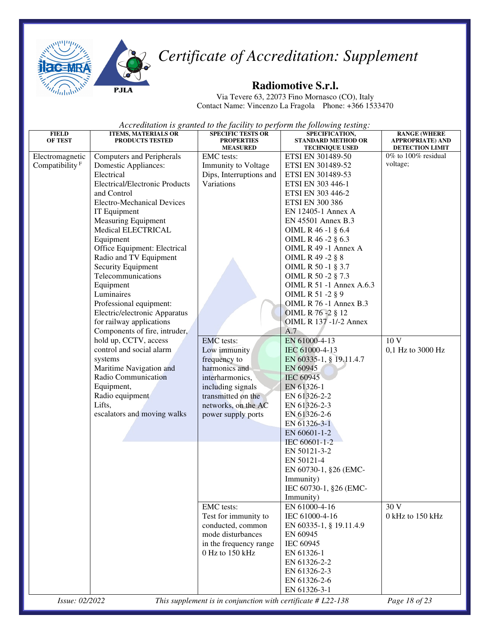

**PJLA** 



## *Certificate of Accreditation: Supplement*

#### **Radiomotive S.r.l.**

Via Tevere 63, 22073 Fino Mornasco (CO), Italy Contact Name: Vincenzo La Fragola Phone: +366 1533470

| <b>FIELD</b><br>OF TEST    | <b>ITEMS, MATERIALS OR</b><br><b>PRODUCTS TESTED</b> | <b>SPECIFIC TESTS OR</b><br><b>PROPERTIES</b>                | SPECIFICATION,<br><b>STANDARD METHOD OR</b> | <b>RANGE (WHERE</b><br><b>APPROPRIATE) AND</b> |
|----------------------------|------------------------------------------------------|--------------------------------------------------------------|---------------------------------------------|------------------------------------------------|
|                            |                                                      | <b>MEASURED</b>                                              | <b>TECHNIQUE USED</b>                       | <b>DETECTION LIMIT</b>                         |
| Electromagnetic            | <b>Computers and Peripherals</b>                     | EMC tests:                                                   | ETSI EN 301489-50                           | $0\%$ to $100\%$ residual                      |
| Compatibility <sup>F</sup> | Domestic Appliances:                                 | Immunity to Voltage                                          | ETSI EN 301489-52                           | voltage;                                       |
|                            | Electrical                                           | Dips, Interruptions and                                      | ETSI EN 301489-53                           |                                                |
|                            | <b>Electrical/Electronic Products</b>                | Variations                                                   | ETSI EN 303 446-1                           |                                                |
|                            | and Control                                          |                                                              | ETSI EN 303 446-2                           |                                                |
|                            | <b>Electro-Mechanical Devices</b>                    |                                                              | <b>ETSI EN 300 386</b>                      |                                                |
|                            | IT Equipment                                         |                                                              | EN 12405-1 Annex A                          |                                                |
|                            | <b>Measuring Equipment</b>                           |                                                              | EN 45501 Annex B.3                          |                                                |
|                            | Medical ELECTRICAL                                   |                                                              | OIML R 46 -1 § 6.4                          |                                                |
|                            | Equipment                                            |                                                              | OIML R 46 -2 § 6.3                          |                                                |
|                            | Office Equipment: Electrical                         |                                                              | OIML R 49 -1 Annex A                        |                                                |
|                            | Radio and TV Equipment                               |                                                              | OIML R 49 -2 § 8                            |                                                |
|                            | Security Equipment                                   |                                                              | OIML R 50 -1 § 3.7                          |                                                |
|                            | Telecommunications                                   |                                                              | OIML R 50 -2 § 7.3                          |                                                |
|                            | Equipment                                            |                                                              | <b>OIML R 51 -1 Annex A.6.3</b>             |                                                |
|                            | Luminaires                                           |                                                              | OIML R 51 -2 § 9                            |                                                |
|                            | Professional equipment:                              |                                                              | <b>OIML R 76 -1 Annex B.3</b>               |                                                |
|                            | Electric/electronic Apparatus                        |                                                              | OIML R 76 - 2 § 12                          |                                                |
|                            | for railway applications                             |                                                              | OIML R 137 -1/-2 Annex                      |                                                |
|                            | Components of fire, intruder,                        |                                                              | A.7                                         |                                                |
|                            | hold up, CCTV, access                                | <b>EMC</b> tests:                                            | EN 61000-4-13                               | 10 V                                           |
|                            | control and social alarm                             | Low immunity                                                 | IEC 61000-4-13                              | 0,1 Hz to 3000 Hz                              |
|                            | systems                                              | frequency to                                                 | EN 60335-1, § 19.11.4.7                     |                                                |
|                            | Maritime Navigation and                              | harmonics and                                                | EN 60945                                    |                                                |
|                            | Radio Communication                                  | interharmonics,                                              | <b>IEC 60945</b>                            |                                                |
|                            | Equipment,                                           | including signals                                            | EN 61326-1                                  |                                                |
|                            | Radio equipment                                      | transmitted on the                                           | EN 61326-2-2                                |                                                |
|                            | Lifts,                                               | networks, on the AC                                          | EN 61326-2-3                                |                                                |
|                            | escalators and moving walks                          | power supply ports                                           | EN 61326-2-6                                |                                                |
|                            |                                                      |                                                              | EN 61326-3-1                                |                                                |
|                            |                                                      |                                                              | EN 60601-1-2                                |                                                |
|                            |                                                      |                                                              | IEC 60601-1-2                               |                                                |
|                            |                                                      |                                                              | EN 50121-3-2                                |                                                |
|                            |                                                      |                                                              | EN 50121-4                                  |                                                |
|                            |                                                      |                                                              | EN 60730-1, §26 (EMC-                       |                                                |
|                            |                                                      |                                                              | Immunity)                                   |                                                |
|                            |                                                      |                                                              | IEC 60730-1, §26 (EMC-                      |                                                |
|                            |                                                      |                                                              | Immunity)                                   |                                                |
|                            |                                                      | EMC tests:                                                   | EN 61000-4-16                               | 30 V                                           |
|                            |                                                      | Test for immunity to                                         | IEC 61000-4-16                              | 0 kHz to 150 kHz                               |
|                            |                                                      | conducted, common                                            | EN 60335-1, § 19.11.4.9                     |                                                |
|                            |                                                      | mode disturbances                                            | EN 60945                                    |                                                |
|                            |                                                      | in the frequency range                                       | IEC 60945                                   |                                                |
|                            |                                                      | 0 Hz to 150 kHz                                              | EN 61326-1                                  |                                                |
|                            |                                                      |                                                              | EN 61326-2-2                                |                                                |
|                            |                                                      |                                                              | EN 61326-2-3                                |                                                |
|                            |                                                      |                                                              | EN 61326-2-6                                |                                                |
|                            |                                                      |                                                              | EN 61326-3-1                                |                                                |
| Issue: 02/2022             |                                                      | This supplement is in conjunction with certificate # L22-138 |                                             | Page 18 of 23                                  |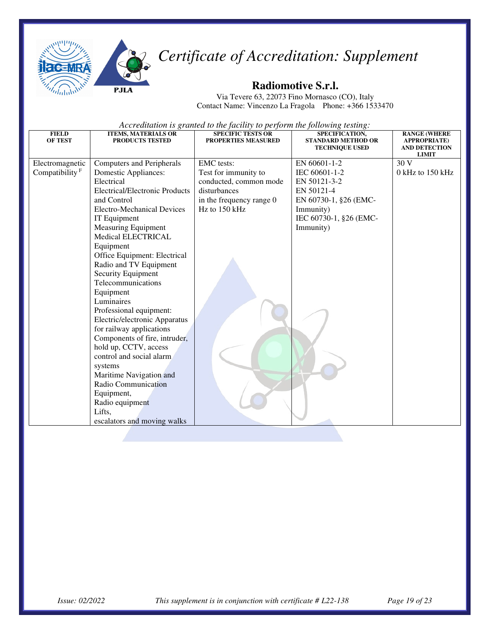



#### **Radiomotive S.r.l.**

Via Tevere 63, 22073 Fino Mornasco (CO), Italy Contact Name: Vincenzo La Fragola Phone: +366 1533470

| <b>FIELD</b><br><b>OF TEST</b> | <b>ITEMS, MATERIALS OR</b><br><b>PRODUCTS TESTED</b> | <b>SPECIFIC TESTS OR</b><br>PROPERTIES MEASURED | SPECIFICATION,<br><b>STANDARD METHOD OR</b><br><b>TECHNIQUE USED</b> | <b>RANGE (WHERE</b><br><b>APPROPRIATE)</b><br><b>AND DETECTION</b> |
|--------------------------------|------------------------------------------------------|-------------------------------------------------|----------------------------------------------------------------------|--------------------------------------------------------------------|
|                                |                                                      |                                                 |                                                                      | <b>LIMIT</b>                                                       |
| Electromagnetic                | Computers and Peripherals                            | <b>EMC</b> tests:                               | EN 60601-1-2                                                         | 30 V                                                               |
| Compatibility $F$              | Domestic Appliances:                                 | Test for immunity to                            | IEC 60601-1-2                                                        | $0$ kHz to 150 kHz                                                 |
|                                | Electrical                                           | conducted, common mode                          | EN 50121-3-2                                                         |                                                                    |
|                                | <b>Electrical/Electronic Products</b>                | disturbances                                    | EN 50121-4                                                           |                                                                    |
|                                | and Control                                          | in the frequency range 0                        | EN 60730-1, §26 (EMC-                                                |                                                                    |
|                                | Electro-Mechanical Devices                           | $Hz$ to 150 kHz                                 | Immunity)                                                            |                                                                    |
|                                | IT Equipment                                         |                                                 | IEC 60730-1, §26 (EMC-                                               |                                                                    |
|                                | <b>Measuring Equipment</b>                           |                                                 | Immunity)                                                            |                                                                    |
|                                | <b>Medical ELECTRICAL</b>                            |                                                 |                                                                      |                                                                    |
|                                | Equipment                                            |                                                 |                                                                      |                                                                    |
|                                | Office Equipment: Electrical                         |                                                 |                                                                      |                                                                    |
|                                | Radio and TV Equipment                               |                                                 |                                                                      |                                                                    |
|                                | Security Equipment                                   |                                                 |                                                                      |                                                                    |
|                                | Telecommunications                                   |                                                 |                                                                      |                                                                    |
|                                | Equipment                                            |                                                 |                                                                      |                                                                    |
|                                | Luminaires                                           |                                                 |                                                                      |                                                                    |
|                                | Professional equipment:                              |                                                 |                                                                      |                                                                    |
|                                | Electric/electronic Apparatus                        |                                                 |                                                                      |                                                                    |
|                                | for railway applications                             |                                                 |                                                                      |                                                                    |
|                                | Components of fire, intruder,                        |                                                 |                                                                      |                                                                    |
|                                | hold up, CCTV, access<br>control and social alarm    |                                                 |                                                                      |                                                                    |
|                                |                                                      |                                                 |                                                                      |                                                                    |
|                                | systems<br>Maritime Navigation and                   |                                                 |                                                                      |                                                                    |
|                                | Radio Communication                                  |                                                 |                                                                      |                                                                    |
|                                | Equipment,                                           |                                                 |                                                                      |                                                                    |
|                                | Radio equipment                                      |                                                 |                                                                      |                                                                    |
|                                | Lifts,                                               |                                                 |                                                                      |                                                                    |
|                                | escalators and moving walks                          |                                                 |                                                                      |                                                                    |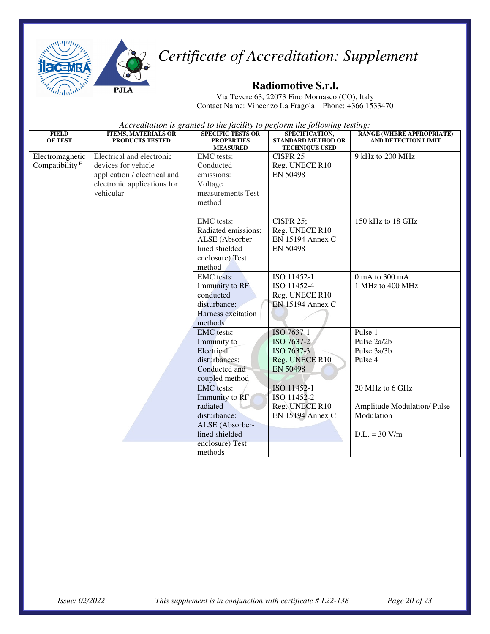



Via Tevere 63, 22073 Fino Mornasco (CO), Italy Contact Name: Vincenzo La Fragola Phone: +366 1533470

| <b>FIELD</b><br><b>OF TEST</b>                | <b>ITEMS, MATERIALS OR</b><br><b>PRODUCTS TESTED</b>                                                                         | <b>SPECIFIC TESTS OR</b><br><b>PROPERTIES</b><br><b>MEASURED</b>                                                                   | SPECIFICATION,<br><b>STANDARD METHOD OR</b><br><b>TECHNIQUE USED</b>        | <b>RANGE (WHERE APPROPRIATE)</b><br><b>AND DETECTION LIMIT</b>                        |
|-----------------------------------------------|------------------------------------------------------------------------------------------------------------------------------|------------------------------------------------------------------------------------------------------------------------------------|-----------------------------------------------------------------------------|---------------------------------------------------------------------------------------|
| Electromagnetic<br>Compatibility <sup>F</sup> | Electrical and electronic<br>devices for vehicle<br>application / electrical and<br>electronic applications for<br>vehicular | <b>EMC</b> tests:<br>Conducted<br>emissions:<br>Voltage<br>measurements Test<br>method                                             | CISPR <sub>25</sub><br>Reg. UNECE R10<br>EN 50498                           | 9 kHz to 200 MHz                                                                      |
|                                               |                                                                                                                              | <b>EMC</b> tests:<br>Radiated emissions:<br>ALSE (Absorber-<br>lined shielded<br>enclosure) Test<br>method                         | <b>CISPR 25;</b><br>Reg. UNECE R10<br>EN 15194 Annex C<br>EN 50498          | 150 kHz to 18 GHz                                                                     |
|                                               |                                                                                                                              | <b>EMC</b> tests:<br>Immunity to RF<br>conducted<br>disturbance:<br>Harness excitation<br>methods                                  | ISO 11452-1<br>ISO 11452-4<br>Reg. UNECE R10<br><b>EN 15194 Annex C</b>     | 0 mA to 300 mA<br>1 MHz to 400 MHz                                                    |
|                                               |                                                                                                                              | <b>EMC</b> tests:<br>Immunity to<br>Electrical<br>disturbances:<br>Conducted and<br>coupled method                                 | ISO 7637-1<br>ISO 7637-2<br>ISO 7637-3<br>Reg. UNECE R10<br><b>EN 50498</b> | Pulse 1<br>Pulse 2a/2b<br>Pulse 3a/3b<br>Pulse 4                                      |
|                                               |                                                                                                                              | <b>EMC</b> tests:<br>Immunity to RF<br>radiated<br>disturbance:<br>ALSE (Absorber-<br>lined shielded<br>enclosure) Test<br>methods | ISO 11452-1<br>ISO 11452-2<br>Reg. UNECE R10<br><b>EN 15194 Annex C</b>     | 20 MHz to 6 GHz<br><b>Amplitude Modulation/Pulse</b><br>Modulation<br>$D.L. = 30 V/m$ |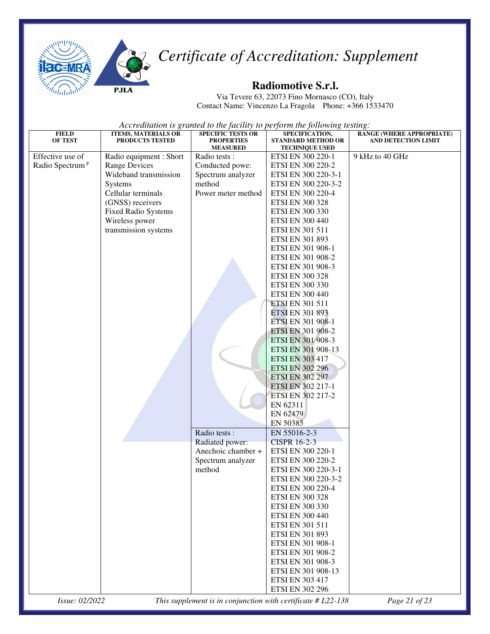

#### **Radiomotive S.r.l.**

Via Tevere 63, 22073 Fino Mornasco (CO), Italy Contact Name: Vincenzo La Fragola Phone: +366 1533470

| <b>FIELD</b><br><b>OF TEST</b> | <b>ITEMS, MATERIALS OR</b><br>PRODUCTS TESTED | ,<br><b>SPECIFIC TESTS OR</b><br><b>PROPERTIES</b> | SPECIFICATION,<br><b>STANDARD METHOD OR</b>                    | <b>RANGE (WHERE APPROPRIATE)</b><br><b>AND DETECTION LIMIT</b> |
|--------------------------------|-----------------------------------------------|----------------------------------------------------|----------------------------------------------------------------|----------------------------------------------------------------|
| Effective use of               |                                               | <b>MEASURED</b><br>Radio tests:                    | <b>TECHNIQUE USED</b>                                          | 9 kHz to 40 GHz                                                |
| Radio Spectrum <sup>F</sup>    | Radio equipment : Short                       |                                                    | ETSI EN 300 220-1                                              |                                                                |
|                                | <b>Range Devices</b><br>Wideband transmission | Conducted powe:                                    | ETSI EN 300 220-2                                              |                                                                |
|                                |                                               | Spectrum analyzer                                  | ETSI EN 300 220-3-1                                            |                                                                |
|                                | Systems                                       | method                                             | ETSI EN 300 220-3-2                                            |                                                                |
|                                | Cellular terminals                            | Power meter method                                 | ETSI EN 300 220-4                                              |                                                                |
|                                | (GNSS) receivers                              |                                                    | <b>ETSI EN 300 328</b>                                         |                                                                |
|                                | <b>Fixed Radio Systems</b>                    |                                                    | <b>ETSI EN 300 330</b>                                         |                                                                |
|                                | Wireless power                                |                                                    | <b>ETSI EN 300 440</b>                                         |                                                                |
|                                | transmission systems                          |                                                    | ETSI EN 301 511                                                |                                                                |
|                                |                                               |                                                    | ETSI EN 301 893                                                |                                                                |
|                                |                                               |                                                    | ETSI EN 301 908-1                                              |                                                                |
|                                |                                               |                                                    | ETSI EN 301 908-2                                              |                                                                |
|                                |                                               |                                                    | ETSI EN 301 908-3                                              |                                                                |
|                                |                                               |                                                    | <b>ETSI EN 300 328</b>                                         |                                                                |
|                                |                                               |                                                    | <b>ETSI EN 300 330</b>                                         |                                                                |
|                                |                                               |                                                    | <b>ETSI EN 300 440</b>                                         |                                                                |
|                                |                                               |                                                    | <b>ETSI EN 301 511</b>                                         |                                                                |
|                                |                                               |                                                    | <b>ETSI EN 301 893</b>                                         |                                                                |
|                                |                                               |                                                    | ETSI EN 301 908-1                                              |                                                                |
|                                |                                               |                                                    | ETSI EN 301 908-2                                              |                                                                |
|                                |                                               |                                                    | ETSI EN 301 908-3                                              |                                                                |
|                                |                                               |                                                    | ETSI EN 301 908-13                                             |                                                                |
|                                |                                               |                                                    | <b>ETSI EN 303 417</b>                                         |                                                                |
|                                |                                               |                                                    | <b>ETSI EN 302 296</b>                                         |                                                                |
|                                |                                               |                                                    | <b>ETSI EN 302 297</b>                                         |                                                                |
|                                |                                               |                                                    | ETSI EN 302 217-1                                              |                                                                |
|                                |                                               |                                                    | ETSI EN 302 217-2                                              |                                                                |
|                                |                                               |                                                    | EN 62311                                                       |                                                                |
|                                |                                               |                                                    | EN 62479                                                       |                                                                |
|                                |                                               |                                                    | EN 50385                                                       |                                                                |
|                                |                                               | Radio tests:                                       | EN 55016-2-3                                                   |                                                                |
|                                |                                               | Radiated power:                                    | <b>CISPR 16-2-3</b>                                            |                                                                |
|                                |                                               | Anechoic chamber +                                 | ETSI EN 300 220-1                                              |                                                                |
|                                |                                               | Spectrum analyzer                                  | ETSI EN 300 220-2                                              |                                                                |
|                                |                                               | method                                             | ETSI EN 300 220-3-1                                            |                                                                |
|                                |                                               |                                                    | ETSI EN 300 220-3-2                                            |                                                                |
|                                |                                               |                                                    | ETSI EN 300 220-4                                              |                                                                |
|                                |                                               |                                                    | <b>ETSI EN 300 328</b>                                         |                                                                |
|                                |                                               |                                                    | <b>ETSI EN 300 330</b>                                         |                                                                |
|                                |                                               |                                                    | <b>ETSI EN 300 440</b>                                         |                                                                |
|                                |                                               |                                                    | ETSI EN 301 511                                                |                                                                |
|                                |                                               |                                                    | ETSI EN 301 893                                                |                                                                |
|                                |                                               |                                                    | ETSI EN 301 908-1                                              |                                                                |
|                                |                                               |                                                    | ETSI EN 301 908-2                                              |                                                                |
|                                |                                               |                                                    | ETSI EN 301 908-3                                              |                                                                |
|                                |                                               |                                                    | ETSI EN 301 908-13                                             |                                                                |
|                                |                                               |                                                    | <b>ETSI EN 303 417</b>                                         |                                                                |
|                                |                                               |                                                    | <b>ETSI EN 302 296</b>                                         |                                                                |
| Issue: 02/2022                 |                                               |                                                    | This supplement is in conjunction with certificate $# L22-138$ | Page 21 of 23                                                  |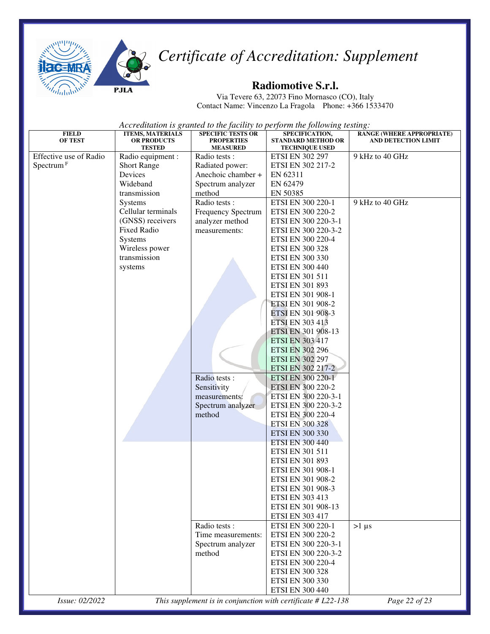

#### **Radiomotive S.r.l.**

Via Tevere 63, 22073 Fino Mornasco (CO), Italy Contact Name: Vincenzo La Fragola Phone: +366 1533470

| <b>FIELD</b><br>OF TEST | <b>ITEMS, MATERIALS</b><br><b>OR PRODUCTS</b><br><b>TESTED</b> | <b>SPECIFIC TESTS OR</b><br><b>PROPERTIES</b><br><b>MEASURED</b> | SPECIFICATION,<br><b>STANDARD METHOD OR</b><br><b>TECHNIQUE USED</b> | <b>RANGE (WHERE APPROPRIATE)</b><br><b>AND DETECTION LIMIT</b> |
|-------------------------|----------------------------------------------------------------|------------------------------------------------------------------|----------------------------------------------------------------------|----------------------------------------------------------------|
| Effective use of Radio  | Radio equipment :                                              | Radio tests :                                                    | <b>ETSI EN 302 297</b>                                               | 9 kHz to 40 GHz                                                |
| Spectrum <sup>F</sup>   | <b>Short Range</b>                                             | Radiated power:                                                  | ETSI EN 302 217-2                                                    |                                                                |
|                         | Devices                                                        | Anechoic chamber +                                               | EN 62311                                                             |                                                                |
|                         | Wideband                                                       | Spectrum analyzer                                                | EN 62479                                                             |                                                                |
|                         | transmission                                                   | method                                                           | EN 50385                                                             |                                                                |
|                         | Systems                                                        | Radio tests:                                                     | ETSI EN 300 220-1                                                    | 9 kHz to 40 GHz                                                |
|                         | Cellular terminals                                             | Frequency Spectrum                                               | ETSI EN 300 220-2                                                    |                                                                |
|                         | (GNSS) receivers                                               | analyzer method                                                  | ETSI EN 300 220-3-1                                                  |                                                                |
|                         | <b>Fixed Radio</b>                                             | measurements:                                                    | ETSI EN 300 220-3-2                                                  |                                                                |
|                         | Systems                                                        |                                                                  | ETSI EN 300 220-4                                                    |                                                                |
|                         | Wireless power                                                 |                                                                  | <b>ETSI EN 300 328</b>                                               |                                                                |
|                         | transmission                                                   |                                                                  | <b>ETSI EN 300 330</b>                                               |                                                                |
|                         | systems                                                        |                                                                  | <b>ETSI EN 300 440</b>                                               |                                                                |
|                         |                                                                |                                                                  | <b>ETSI EN 301 511</b>                                               |                                                                |
|                         |                                                                |                                                                  | ETSI EN 301 893                                                      |                                                                |
|                         |                                                                |                                                                  | ETSI EN 301 908-1                                                    |                                                                |
|                         |                                                                |                                                                  | ETSI EN 301 908-2                                                    |                                                                |
|                         |                                                                |                                                                  | ETSI EN 301 908-3                                                    |                                                                |
|                         |                                                                |                                                                  | <b>ETSI EN 303 413</b>                                               |                                                                |
|                         |                                                                |                                                                  | ETSI EN 301 908-13                                                   |                                                                |
|                         |                                                                |                                                                  | <b>ETSI EN 303 417</b>                                               |                                                                |
|                         |                                                                |                                                                  | <b>ETSI EN 302 296</b>                                               |                                                                |
|                         |                                                                |                                                                  | <b>ETSI EN 302 297</b>                                               |                                                                |
|                         |                                                                |                                                                  | ETSI EN 302 217-2                                                    |                                                                |
|                         |                                                                | Radio tests :                                                    | ETSI EN 300 220-1                                                    |                                                                |
|                         |                                                                | Sensitivity                                                      | ETSI EN 300 220-2                                                    |                                                                |
|                         |                                                                | measurements:                                                    | ETSI EN 300 220-3-1                                                  |                                                                |
|                         |                                                                | Spectrum analyzer                                                | ETSI EN 300 220-3-2                                                  |                                                                |
|                         |                                                                | method                                                           | ETSI EN 300 220-4                                                    |                                                                |
|                         |                                                                |                                                                  | <b>ETSI EN 300 328</b>                                               |                                                                |
|                         |                                                                |                                                                  | <b>ETSI EN 300 330</b>                                               |                                                                |
|                         |                                                                |                                                                  | <b>ETSI EN 300 440</b>                                               |                                                                |
|                         |                                                                |                                                                  | ETSI EN 301 511                                                      |                                                                |
|                         |                                                                |                                                                  | ETSI EN 301 893                                                      |                                                                |
|                         |                                                                |                                                                  | ETSI EN 301 908-1                                                    |                                                                |
|                         |                                                                |                                                                  | ETSI EN 301 908-2                                                    |                                                                |
|                         |                                                                |                                                                  | ETSI EN 301 908-3                                                    |                                                                |
|                         |                                                                |                                                                  | <b>ETSI EN 303 413</b>                                               |                                                                |
|                         |                                                                |                                                                  | ETSI EN 301 908-13                                                   |                                                                |
|                         |                                                                |                                                                  | <b>ETSI EN 303 417</b>                                               |                                                                |
|                         |                                                                | Radio tests:                                                     | ETSI EN 300 220-1                                                    | $>1 \mu s$                                                     |
|                         |                                                                | Time measurements:<br>Spectrum analyzer                          | ETSI EN 300 220-2<br>ETSI EN 300 220-3-1                             |                                                                |
|                         |                                                                | method                                                           | ETSI EN 300 220-3-2                                                  |                                                                |
|                         |                                                                |                                                                  | ETSI EN 300 220-4                                                    |                                                                |
|                         |                                                                |                                                                  | <b>ETSI EN 300 328</b>                                               |                                                                |
|                         |                                                                |                                                                  | ETSI EN 300 330                                                      |                                                                |
|                         |                                                                |                                                                  | <b>ETSI EN 300 440</b>                                               |                                                                |
| Issue: 02/2022          |                                                                |                                                                  | This supplement is in conjunction with certificate $# L22-138$       | Page 22 of 23                                                  |